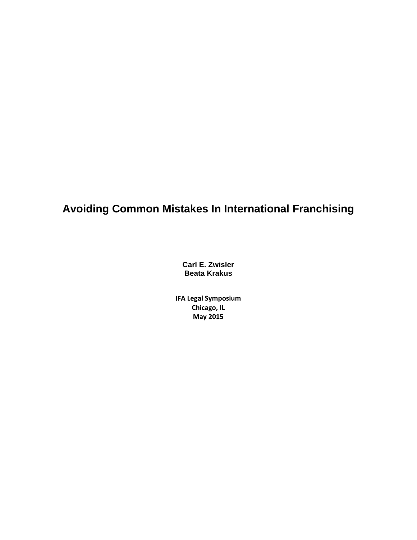# **Avoiding Common Mistakes In International Franchising**

**Carl E. Zwisler Beata Krakus** 

**IFA Legal Symposium Chicago, IL May 2015**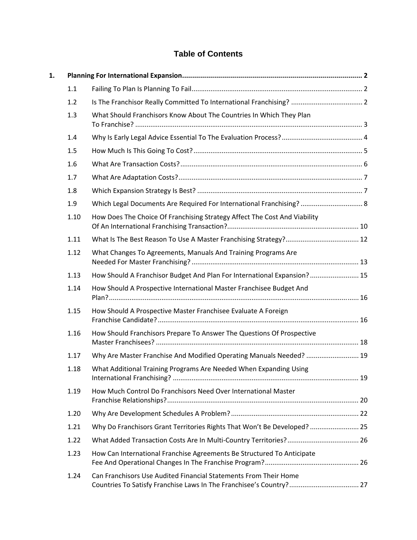# **Table of Contents**

| 1. |      |                                                                           |  |
|----|------|---------------------------------------------------------------------------|--|
|    | 1.1  |                                                                           |  |
|    | 1.2  |                                                                           |  |
|    | 1.3  | What Should Franchisors Know About The Countries In Which They Plan       |  |
|    | 1.4  |                                                                           |  |
|    | 1.5  |                                                                           |  |
|    | 1.6  |                                                                           |  |
|    | 1.7  |                                                                           |  |
|    | 1.8  |                                                                           |  |
|    | 1.9  | Which Legal Documents Are Required For International Franchising?  8      |  |
|    | 1.10 | How Does The Choice Of Franchising Strategy Affect The Cost And Viability |  |
|    | 1.11 |                                                                           |  |
|    | 1.12 | What Changes To Agreements, Manuals And Training Programs Are             |  |
|    | 1.13 | How Should A Franchisor Budget And Plan For International Expansion? 15   |  |
|    | 1.14 | How Should A Prospective International Master Franchisee Budget And       |  |
|    | 1.15 | How Should A Prospective Master Franchisee Evaluate A Foreign             |  |
|    | 1.16 | How Should Franchisors Prepare To Answer The Questions Of Prospective     |  |
|    | 1.17 | Why Are Master Franchise And Modified Operating Manuals Needed?  19       |  |
|    | 1.18 | What Additional Training Programs Are Needed When Expanding Using         |  |
|    | 1.19 | How Much Control Do Franchisors Need Over International Master            |  |
|    | 1.20 |                                                                           |  |
|    | 1.21 | Why Do Franchisors Grant Territories Rights That Won't Be Developed?  25  |  |
|    | 1.22 |                                                                           |  |
|    | 1.23 | How Can International Franchise Agreements Be Structured To Anticipate    |  |
|    | 1.24 | Can Franchisors Use Audited Financial Statements From Their Home          |  |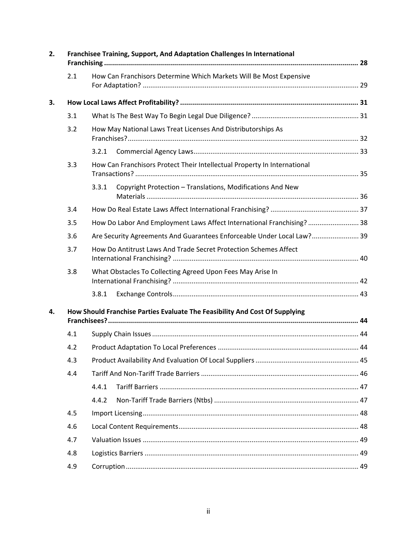| 2. | Franchisee Training, Support, And Adaptation Challenges In International    |                                                                          |  |  |  |
|----|-----------------------------------------------------------------------------|--------------------------------------------------------------------------|--|--|--|
|    | 2.1                                                                         | How Can Franchisors Determine Which Markets Will Be Most Expensive       |  |  |  |
| 3. |                                                                             |                                                                          |  |  |  |
|    | 3.1                                                                         |                                                                          |  |  |  |
|    | 3.2                                                                         | How May National Laws Treat Licenses And Distributorships As             |  |  |  |
|    |                                                                             | 3.2.1                                                                    |  |  |  |
|    | 3.3                                                                         | How Can Franchisors Protect Their Intellectual Property In International |  |  |  |
|    |                                                                             | Copyright Protection - Translations, Modifications And New<br>3.3.1      |  |  |  |
|    | 3.4                                                                         |                                                                          |  |  |  |
|    | 3.5                                                                         | How Do Labor And Employment Laws Affect International Franchising?  38   |  |  |  |
|    | 3.6                                                                         | Are Security Agreements And Guarantees Enforceable Under Local Law? 39   |  |  |  |
|    | 3.7                                                                         | How Do Antitrust Laws And Trade Secret Protection Schemes Affect         |  |  |  |
|    | 3.8                                                                         | What Obstacles To Collecting Agreed Upon Fees May Arise In               |  |  |  |
|    |                                                                             | 3.8.1                                                                    |  |  |  |
| 4. | How Should Franchise Parties Evaluate The Feasibility And Cost Of Supplying |                                                                          |  |  |  |
|    | 4.1                                                                         |                                                                          |  |  |  |
|    | 4.2                                                                         |                                                                          |  |  |  |
|    | 4.3                                                                         |                                                                          |  |  |  |
|    | 4.4                                                                         |                                                                          |  |  |  |
|    |                                                                             | 4.4.1                                                                    |  |  |  |
|    |                                                                             | 4.4.2                                                                    |  |  |  |
|    | 4.5                                                                         |                                                                          |  |  |  |
|    | 4.6                                                                         |                                                                          |  |  |  |
|    | 4.7                                                                         |                                                                          |  |  |  |
|    | 4.8                                                                         |                                                                          |  |  |  |
|    | 4.9                                                                         |                                                                          |  |  |  |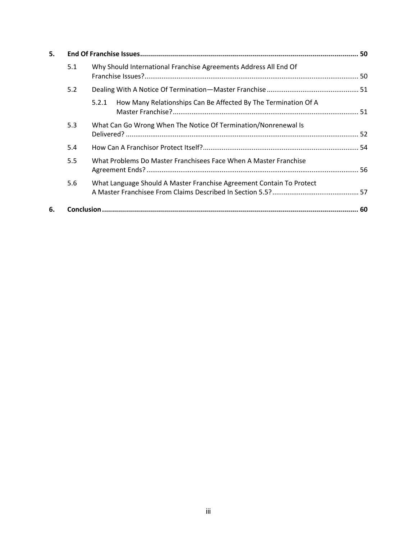| 5. |     |                                                                         |  |
|----|-----|-------------------------------------------------------------------------|--|
|    | 5.1 | Why Should International Franchise Agreements Address All End Of        |  |
|    | 5.2 |                                                                         |  |
|    |     | How Many Relationships Can Be Affected By The Termination Of A<br>5.2.1 |  |
|    | 5.3 | What Can Go Wrong When The Notice Of Termination/Nonrenewal Is          |  |
|    | 5.4 |                                                                         |  |
|    | 5.5 | What Problems Do Master Franchisees Face When A Master Franchise        |  |
|    | 5.6 | What Language Should A Master Franchise Agreement Contain To Protect    |  |
| 6. |     |                                                                         |  |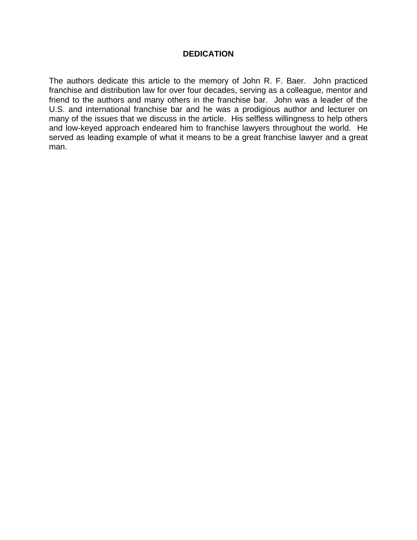#### **DEDICATION**

The authors dedicate this article to the memory of John R. F. Baer. John practiced franchise and distribution law for over four decades, serving as a colleague, mentor and friend to the authors and many others in the franchise bar. John was a leader of the U.S. and international franchise bar and he was a prodigious author and lecturer on many of the issues that we discuss in the article. His selfless willingness to help others and low-keyed approach endeared him to franchise lawyers throughout the world. He served as leading example of what it means to be a great franchise lawyer and a great man.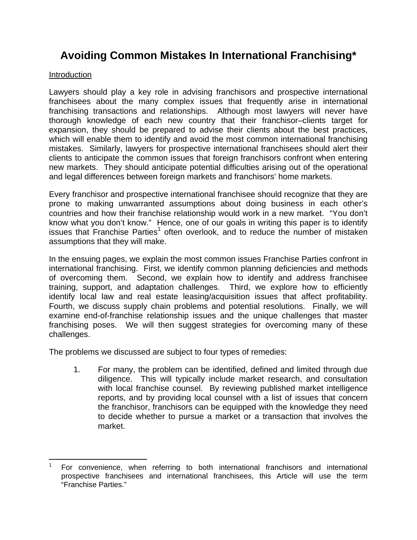# **Avoiding Common Mistakes In International Franchising\***

#### Introduction

Lawyers should play a key role in advising franchisors and prospective international franchisees about the many complex issues that frequently arise in international franchising transactions and relationships. Although most lawyers will never have thorough knowledge of each new country that their franchisor–clients target for expansion, they should be prepared to advise their clients about the best practices, which will enable them to identify and avoid the most common international franchising mistakes. Similarly, lawyers for prospective international franchisees should alert their clients to anticipate the common issues that foreign franchisors confront when entering new markets. They should anticipate potential difficulties arising out of the operational and legal differences between foreign markets and franchisors' home markets.

Every franchisor and prospective international franchisee should recognize that they are prone to making unwarranted assumptions about doing business in each other's countries and how their franchise relationship would work in a new market. "You don't know what you don't know." Hence, one of our goals in writing this paper is to identify issues that Franchise Parties<sup>1</sup> often overlook, and to reduce the number of mistaken assumptions that they will make.

In the ensuing pages, we explain the most common issues Franchise Parties confront in international franchising. First, we identify common planning deficiencies and methods of overcoming them. Second, we explain how to identify and address franchisee training, support, and adaptation challenges. Third, we explore how to efficiently identify local law and real estate leasing/acquisition issues that affect profitability. Fourth, we discuss supply chain problems and potential resolutions. Finally, we will examine end-of-franchise relationship issues and the unique challenges that master franchising poses. We will then suggest strategies for overcoming many of these challenges.

The problems we discussed are subject to four types of remedies:

1. For many, the problem can be identified, defined and limited through due diligence. This will typically include market research, and consultation with local franchise counsel. By reviewing published market intelligence reports, and by providing local counsel with a list of issues that concern the franchisor, franchisors can be equipped with the knowledge they need to decide whether to pursue a market or a transaction that involves the market.

 1 For convenience, when referring to both international franchisors and international prospective franchisees and international franchisees, this Article will use the term "Franchise Parties."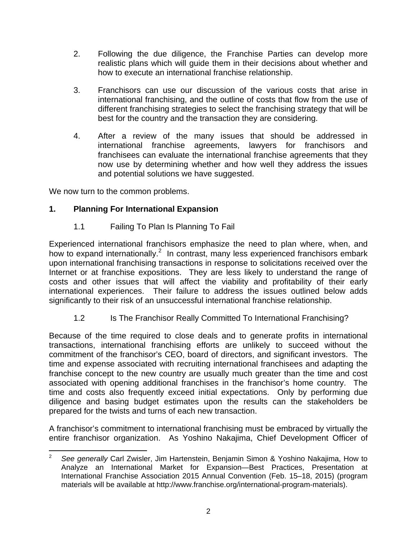- 2. Following the due diligence, the Franchise Parties can develop more realistic plans which will guide them in their decisions about whether and how to execute an international franchise relationship.
- 3. Franchisors can use our discussion of the various costs that arise in international franchising, and the outline of costs that flow from the use of different franchising strategies to select the franchising strategy that will be best for the country and the transaction they are considering.
- 4. After a review of the many issues that should be addressed in international franchise agreements, lawyers for franchisors and franchisees can evaluate the international franchise agreements that they now use by determining whether and how well they address the issues and potential solutions we have suggested.

We now turn to the common problems.

#### **1. Planning For International Expansion**

1.1 Failing To Plan Is Planning To Fail

Experienced international franchisors emphasize the need to plan where, when, and how to expand internationally. $^2$  In contrast, many less experienced franchisors embark upon international franchising transactions in response to solicitations received over the Internet or at franchise expositions. They are less likely to understand the range of costs and other issues that will affect the viability and profitability of their early international experiences. Their failure to address the issues outlined below adds significantly to their risk of an unsuccessful international franchise relationship.

1.2 Is The Franchisor Really Committed To International Franchising?

Because of the time required to close deals and to generate profits in international transactions, international franchising efforts are unlikely to succeed without the commitment of the franchisor's CEO, board of directors, and significant investors. The time and expense associated with recruiting international franchisees and adapting the franchise concept to the new country are usually much greater than the time and cost associated with opening additional franchises in the franchisor's home country. The time and costs also frequently exceed initial expectations. Only by performing due diligence and basing budget estimates upon the results can the stakeholders be prepared for the twists and turns of each new transaction.

A franchisor's commitment to international franchising must be embraced by virtually the entire franchisor organization. As Yoshino Nakajima, Chief Development Officer of

 <sup>2</sup> *See generally* Carl Zwisler, Jim Hartenstein, Benjamin Simon & Yoshino Nakajima, How to Analyze an International Market for Expansion—Best Practices, Presentation at International Franchise Association 2015 Annual Convention (Feb. 15–18, 2015) (program materials will be available at http://www.franchise.org/international-program-materials).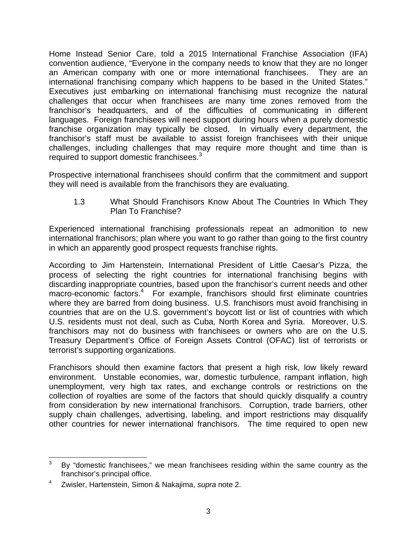Home Instead Senior Care, told a 2015 International Franchise Association (IFA) convention audience, "Everyone in the company needs to know that they are no longer an American company with one or more international franchisees. They are an international franchising company which happens to be based in the United States." Executives just embarking on international franchising must recognize the natural challenges that occur when franchisees are many time zones removed from the franchisor's headquarters, and of the difficulties of communicating in different languages. Foreign franchisees will need support during hours when a purely domestic franchise organization may typically be closed. In virtually every department, the franchisor's staff must be available to assist foreign franchisees with their unique challenges, including challenges that may require more thought and time than is required to support domestic franchisees.<sup>3</sup>

Prospective international franchisees should confirm that the commitment and support they will need is available from the franchisors they are evaluating.

1.3 What Should Franchisors Know About The Countries In Which They Plan To Franchise?

Experienced international franchising professionals repeat an admonition to new international franchisors; plan where you want to go rather than going to the first country in which an apparently good prospect requests franchise rights.

According to Jim Hartenstein, International President of Little Caesar's Pizza, the process of selecting the right countries for international franchising begins with discarding inappropriate countries, based upon the franchisor's current needs and other macro-economic factors.<sup>4</sup> For example, franchisors should first eliminate countries where they are barred from doing business. U.S. franchisors must avoid franchising in countries that are on the U.S. government's boycott list or list of countries with which U.S. residents must not deal, such as Cuba, North Korea and Syria. Moreover, U.S. franchisors may not do business with franchisees or owners who are on the U.S. Treasury Department's Office of Foreign Assets Control (OFAC) list of terrorists or terrorist's supporting organizations.

Franchisors should then examine factors that present a high risk, low likely reward environment. Unstable economies, war, domestic turbulence, rampant inflation, high unemployment, very high tax rates, and exchange controls or restrictions on the collection of royalties are some of the factors that should quickly disqualify a country from consideration by new international franchisors. Corruption, trade barriers, other supply chain challenges, advertising, labeling, and import restrictions may disqualify other countries for newer international franchisors. The time required to open new

 3 By "domestic franchisees," we mean franchisees residing within the same country as the franchisor's principal office.

<sup>4</sup> Zwisler, Hartenstein, Simon & Nakajima, *supra* note 2.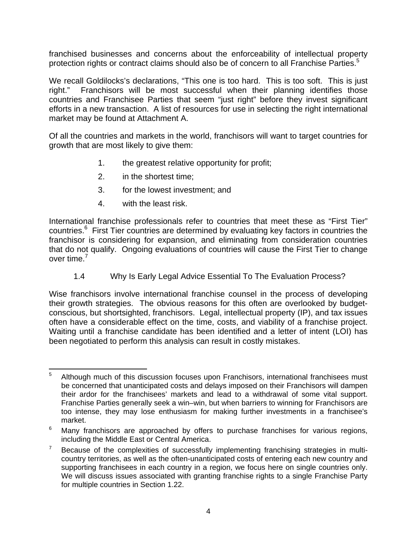franchised businesses and concerns about the enforceability of intellectual property protection rights or contract claims should also be of concern to all Franchise Parties.<sup>5</sup>

We recall Goldilocks's declarations, "This one is too hard. This is too soft. This is just right." Franchisors will be most successful when their planning identifies those countries and Franchisee Parties that seem "just right" before they invest significant efforts in a new transaction. A list of resources for use in selecting the right international market may be found at Attachment A.

Of all the countries and markets in the world, franchisors will want to target countries for growth that are most likely to give them:

- 1. the greatest relative opportunity for profit;
- 2. in the shortest time;
- 3. for the lowest investment; and
- 4. with the least risk.

International franchise professionals refer to countries that meet these as "First Tier" countries.<sup>6</sup> First Tier countries are determined by evaluating key factors in countries the franchisor is considering for expansion, and eliminating from consideration countries that do not qualify. Ongoing evaluations of countries will cause the First Tier to change over time.<sup>7</sup>

1.4 Why Is Early Legal Advice Essential To The Evaluation Process?

Wise franchisors involve international franchise counsel in the process of developing their growth strategies. The obvious reasons for this often are overlooked by budgetconscious, but shortsighted, franchisors. Legal, intellectual property (IP), and tax issues often have a considerable effect on the time, costs, and viability of a franchise project. Waiting until a franchise candidate has been identified and a letter of intent (LOI) has been negotiated to perform this analysis can result in costly mistakes.

 5 Although much of this discussion focuses upon Franchisors, international franchisees must be concerned that unanticipated costs and delays imposed on their Franchisors will dampen their ardor for the franchisees' markets and lead to a withdrawal of some vital support. Franchise Parties generally seek a win–win, but when barriers to winning for Franchisors are too intense, they may lose enthusiasm for making further investments in a franchisee's market.

<sup>6</sup> Many franchisors are approached by offers to purchase franchises for various regions, including the Middle East or Central America.

<sup>7</sup> Because of the complexities of successfully implementing franchising strategies in multicountry territories, as well as the often-unanticipated costs of entering each new country and supporting franchisees in each country in a region, we focus here on single countries only. We will discuss issues associated with granting franchise rights to a single Franchise Party for multiple countries in Section 1.22.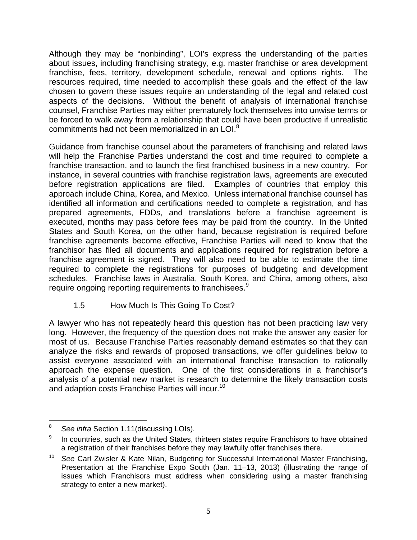Although they may be "nonbinding", LOI's express the understanding of the parties about issues, including franchising strategy, e.g. master franchise or area development franchise, fees, territory, development schedule, renewal and options rights. The resources required, time needed to accomplish these goals and the effect of the law chosen to govern these issues require an understanding of the legal and related cost aspects of the decisions. Without the benefit of analysis of international franchise counsel, Franchise Parties may either prematurely lock themselves into unwise terms or be forced to walk away from a relationship that could have been productive if unrealistic commitments had not been memorialized in an LOI.<sup>8</sup>

Guidance from franchise counsel about the parameters of franchising and related laws will help the Franchise Parties understand the cost and time required to complete a franchise transaction, and to launch the first franchised business in a new country. For instance, in several countries with franchise registration laws, agreements are executed before registration applications are filed. Examples of countries that employ this approach include China, Korea, and Mexico. Unless international franchise counsel has identified all information and certifications needed to complete a registration, and has prepared agreements, FDDs, and translations before a franchise agreement is executed, months may pass before fees may be paid from the country. In the United States and South Korea, on the other hand, because registration is required before franchise agreements become effective, Franchise Parties will need to know that the franchisor has filed all documents and applications required for registration before a franchise agreement is signed. They will also need to be able to estimate the time required to complete the registrations for purposes of budgeting and development schedules. Franchise laws in Australia, South Korea, and China, among others, also require ongoing reporting requirements to franchisees.<sup>9</sup>

1.5 How Much Is This Going To Cost?

A lawyer who has not repeatedly heard this question has not been practicing law very long. However, the frequency of the question does not make the answer any easier for most of us. Because Franchise Parties reasonably demand estimates so that they can analyze the risks and rewards of proposed transactions, we offer guidelines below to assist everyone associated with an international franchise transaction to rationally approach the expense question. One of the first considerations in a franchisor's analysis of a potential new market is research to determine the likely transaction costs and adaption costs Franchise Parties will incur.<sup>10</sup>

<sup>8</sup> *See infra* Section 1.11(discussing LOIs).

<sup>9</sup> In countries, such as the United States, thirteen states require Franchisors to have obtained a registration of their franchises before they may lawfully offer franchises there.

<sup>10</sup> *See* Carl Zwisler & Kate Nilan, Budgeting for Successful International Master Franchising, Presentation at the Franchise Expo South (Jan. 11–13, 2013) (illustrating the range of issues which Franchisors must address when considering using a master franchising strategy to enter a new market).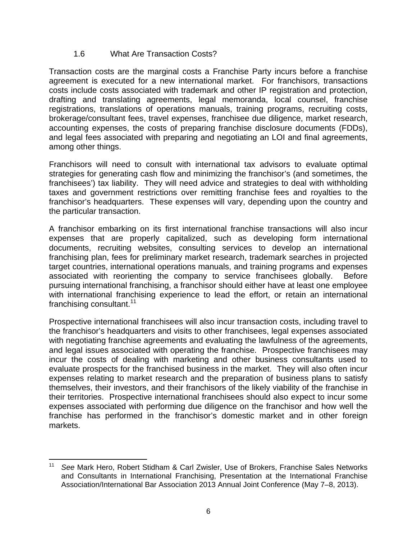#### 1.6 What Are Transaction Costs?

Transaction costs are the marginal costs a Franchise Party incurs before a franchise agreement is executed for a new international market. For franchisors, transactions costs include costs associated with trademark and other IP registration and protection, drafting and translating agreements, legal memoranda, local counsel, franchise registrations, translations of operations manuals, training programs, recruiting costs, brokerage/consultant fees, travel expenses, franchisee due diligence, market research, accounting expenses, the costs of preparing franchise disclosure documents (FDDs), and legal fees associated with preparing and negotiating an LOI and final agreements, among other things.

Franchisors will need to consult with international tax advisors to evaluate optimal strategies for generating cash flow and minimizing the franchisor's (and sometimes, the franchisees') tax liability. They will need advice and strategies to deal with withholding taxes and government restrictions over remitting franchise fees and royalties to the franchisor's headquarters. These expenses will vary, depending upon the country and the particular transaction.

A franchisor embarking on its first international franchise transactions will also incur expenses that are properly capitalized, such as developing form international documents, recruiting websites, consulting services to develop an international franchising plan, fees for preliminary market research, trademark searches in projected target countries, international operations manuals, and training programs and expenses associated with reorienting the company to service franchisees globally. Before pursuing international franchising, a franchisor should either have at least one employee with international franchising experience to lead the effort, or retain an international franchising consultant.<sup>11</sup>

Prospective international franchisees will also incur transaction costs, including travel to the franchisor's headquarters and visits to other franchisees, legal expenses associated with negotiating franchise agreements and evaluating the lawfulness of the agreements, and legal issues associated with operating the franchise. Prospective franchisees may incur the costs of dealing with marketing and other business consultants used to evaluate prospects for the franchised business in the market. They will also often incur expenses relating to market research and the preparation of business plans to satisfy themselves, their investors, and their franchisors of the likely viability of the franchise in their territories. Prospective international franchisees should also expect to incur some expenses associated with performing due diligence on the franchisor and how well the franchise has performed in the franchisor's domestic market and in other foreign markets.

 <sup>11</sup> *See* Mark Hero, Robert Stidham & Carl Zwisler, Use of Brokers, Franchise Sales Networks and Consultants in International Franchising, Presentation at the International Franchise Association/International Bar Association 2013 Annual Joint Conference (May 7–8, 2013).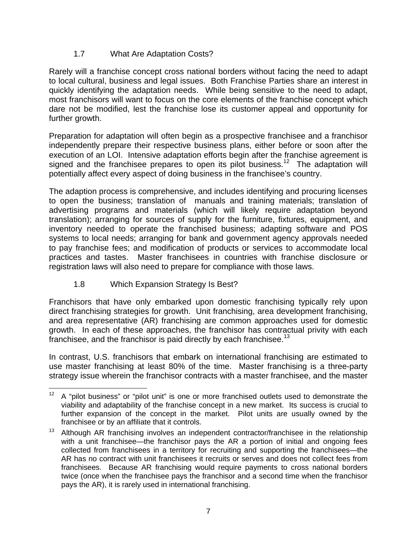## 1.7 What Are Adaptation Costs?

Rarely will a franchise concept cross national borders without facing the need to adapt to local cultural, business and legal issues. Both Franchise Parties share an interest in quickly identifying the adaptation needs. While being sensitive to the need to adapt, most franchisors will want to focus on the core elements of the franchise concept which dare not be modified, lest the franchise lose its customer appeal and opportunity for further growth.

Preparation for adaptation will often begin as a prospective franchisee and a franchisor independently prepare their respective business plans, either before or soon after the execution of an LOI. Intensive adaptation efforts begin after the franchise agreement is signed and the franchisee prepares to open its pilot business.<sup>12</sup> The adaptation will potentially affect every aspect of doing business in the franchisee's country.

The adaption process is comprehensive, and includes identifying and procuring licenses to open the business; translation of manuals and training materials; translation of advertising programs and materials (which will likely require adaptation beyond translation); arranging for sources of supply for the furniture, fixtures, equipment, and inventory needed to operate the franchised business; adapting software and POS systems to local needs; arranging for bank and government agency approvals needed to pay franchise fees; and modification of products or services to accommodate local practices and tastes. Master franchisees in countries with franchise disclosure or registration laws will also need to prepare for compliance with those laws.

1.8 Which Expansion Strategy Is Best?

Franchisors that have only embarked upon domestic franchising typically rely upon direct franchising strategies for growth. Unit franchising, area development franchising, and area representative (AR) franchising are common approaches used for domestic growth. In each of these approaches, the franchisor has contractual privity with each franchisee, and the franchisor is paid directly by each franchisee.<sup>13</sup>

In contrast, U.S. franchisors that embark on international franchising are estimated to use master franchising at least 80% of the time. Master franchising is a three-party strategy issue wherein the franchisor contracts with a master franchisee, and the master

  $12$  A "pilot business" or "pilot unit" is one or more franchised outlets used to demonstrate the viability and adaptability of the franchise concept in a new market. Its success is crucial to further expansion of the concept in the market. Pilot units are usually owned by the franchisee or by an affiliate that it controls.

<sup>&</sup>lt;sup>13</sup> Although AR franchising involves an independent contractor/franchisee in the relationship with a unit franchisee—the franchisor pays the AR a portion of initial and ongoing fees collected from franchisees in a territory for recruiting and supporting the franchisees—the AR has no contract with unit franchisees it recruits or serves and does not collect fees from franchisees. Because AR franchising would require payments to cross national borders twice (once when the franchisee pays the franchisor and a second time when the franchisor pays the AR), it is rarely used in international franchising.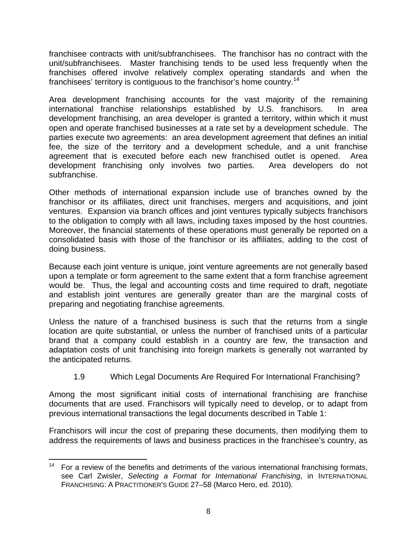franchisee contracts with unit/subfranchisees. The franchisor has no contract with the unit/subfranchisees. Master franchising tends to be used less frequently when the franchises offered involve relatively complex operating standards and when the franchisees' territory is contiguous to the franchisor's home country.<sup>14</sup>

Area development franchising accounts for the vast majority of the remaining international franchise relationships established by U.S. franchisors. In area development franchising, an area developer is granted a territory, within which it must open and operate franchised businesses at a rate set by a development schedule. The parties execute two agreements: an area development agreement that defines an initial fee, the size of the territory and a development schedule, and a unit franchise agreement that is executed before each new franchised outlet is opened. Area development franchising only involves two parties. Area developers do not subfranchise.

Other methods of international expansion include use of branches owned by the franchisor or its affiliates, direct unit franchises, mergers and acquisitions, and joint ventures. Expansion via branch offices and joint ventures typically subjects franchisors to the obligation to comply with all laws, including taxes imposed by the host countries. Moreover, the financial statements of these operations must generally be reported on a consolidated basis with those of the franchisor or its affiliates, adding to the cost of doing business.

Because each joint venture is unique, joint venture agreements are not generally based upon a template or form agreement to the same extent that a form franchise agreement would be. Thus, the legal and accounting costs and time required to draft, negotiate and establish joint ventures are generally greater than are the marginal costs of preparing and negotiating franchise agreements.

Unless the nature of a franchised business is such that the returns from a single location are quite substantial, or unless the number of franchised units of a particular brand that a company could establish in a country are few, the transaction and adaptation costs of unit franchising into foreign markets is generally not warranted by the anticipated returns.

#### 1.9 Which Legal Documents Are Required For International Franchising?

Among the most significant initial costs of international franchising are franchise documents that are used. Franchisors will typically need to develop, or to adapt from previous international transactions the legal documents described in Table 1:

Franchisors will incur the cost of preparing these documents, then modifying them to address the requirements of laws and business practices in the franchisee's country, as

 14 For a review of the benefits and detriments of the various international franchising formats, see Carl Zwisler, *Selecting a Format for International Franchising*, in INTERNATIONAL FRANCHISING: A PRACTITIONER'S GUIDE 27–58 (Marco Hero, ed. 2010).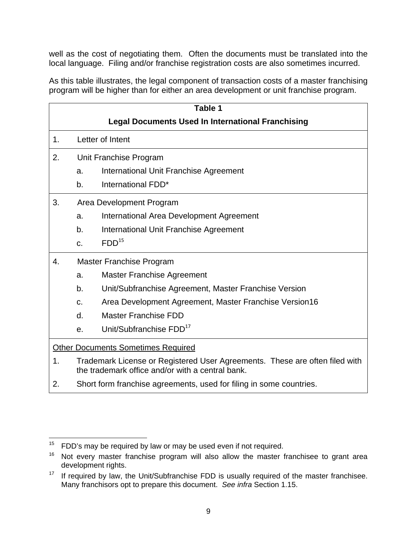well as the cost of negotiating them. Often the documents must be translated into the local language. Filing and/or franchise registration costs are also sometimes incurred.

As this table illustrates, the legal component of transaction costs of a master franchising program will be higher than for either an area development or unit franchise program.

| Table 1                                   |                                                                                                                                 |                                                                     |  |  |  |
|-------------------------------------------|---------------------------------------------------------------------------------------------------------------------------------|---------------------------------------------------------------------|--|--|--|
|                                           | <b>Legal Documents Used In International Franchising</b>                                                                        |                                                                     |  |  |  |
| 1.                                        | Letter of Intent                                                                                                                |                                                                     |  |  |  |
| 2.                                        | Unit Franchise Program                                                                                                          |                                                                     |  |  |  |
|                                           | a.                                                                                                                              | International Unit Franchise Agreement                              |  |  |  |
|                                           | b.                                                                                                                              | International FDD*                                                  |  |  |  |
| 3.<br>Area Development Program            |                                                                                                                                 |                                                                     |  |  |  |
|                                           | a.                                                                                                                              | International Area Development Agreement                            |  |  |  |
|                                           | b.                                                                                                                              | International Unit Franchise Agreement                              |  |  |  |
|                                           | C.                                                                                                                              | FDD <sup>15</sup>                                                   |  |  |  |
| <b>Master Franchise Program</b><br>4.     |                                                                                                                                 |                                                                     |  |  |  |
|                                           | a.                                                                                                                              | <b>Master Franchise Agreement</b>                                   |  |  |  |
|                                           | b.                                                                                                                              | Unit/Subfranchise Agreement, Master Franchise Version               |  |  |  |
|                                           | $C_{-}$                                                                                                                         | Area Development Agreement, Master Franchise Version16              |  |  |  |
|                                           | d.                                                                                                                              | <b>Master Franchise FDD</b>                                         |  |  |  |
|                                           | e.                                                                                                                              | Unit/Subfranchise FDD <sup>17</sup>                                 |  |  |  |
| <b>Other Documents Sometimes Required</b> |                                                                                                                                 |                                                                     |  |  |  |
| 1.                                        | Trademark License or Registered User Agreements. These are often filed with<br>the trademark office and/or with a central bank. |                                                                     |  |  |  |
| 2.                                        |                                                                                                                                 | Short form franchise agreements, used for filing in some countries. |  |  |  |

  $15$  FDD's may be required by law or may be used even if not required.

 $16$  Not every master franchise program will also allow the master franchisee to grant area development rights.

 $17$  If required by law, the Unit/Subfranchise FDD is usually required of the master franchisee. Many franchisors opt to prepare this document. *See infra* Section 1.15.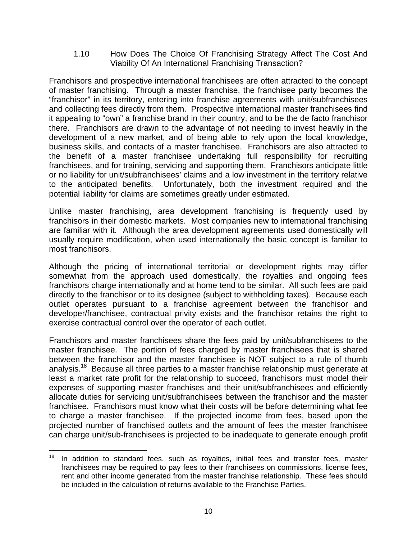1.10 How Does The Choice Of Franchising Strategy Affect The Cost And Viability Of An International Franchising Transaction?

Franchisors and prospective international franchisees are often attracted to the concept of master franchising. Through a master franchise, the franchisee party becomes the "franchisor" in its territory, entering into franchise agreements with unit/subfranchisees and collecting fees directly from them. Prospective international master franchisees find it appealing to "own" a franchise brand in their country, and to be the de facto franchisor there. Franchisors are drawn to the advantage of not needing to invest heavily in the development of a new market, and of being able to rely upon the local knowledge, business skills, and contacts of a master franchisee. Franchisors are also attracted to the benefit of a master franchisee undertaking full responsibility for recruiting franchisees, and for training, servicing and supporting them. Franchisors anticipate little or no liability for unit/subfranchisees' claims and a low investment in the territory relative to the anticipated benefits. Unfortunately, both the investment required and the potential liability for claims are sometimes greatly under estimated.

Unlike master franchising, area development franchising is frequently used by franchisors in their domestic markets. Most companies new to international franchising are familiar with it. Although the area development agreements used domestically will usually require modification, when used internationally the basic concept is familiar to most franchisors.

Although the pricing of international territorial or development rights may differ somewhat from the approach used domestically, the royalties and ongoing fees franchisors charge internationally and at home tend to be similar. All such fees are paid directly to the franchisor or to its designee (subject to withholding taxes). Because each outlet operates pursuant to a franchise agreement between the franchisor and developer/franchisee, contractual privity exists and the franchisor retains the right to exercise contractual control over the operator of each outlet.

Franchisors and master franchisees share the fees paid by unit/subfranchisees to the master franchisee. The portion of fees charged by master franchisees that is shared between the franchisor and the master franchisee is NOT subject to a rule of thumb analysis.<sup>18</sup> Because all three parties to a master franchise relationship must generate at least a market rate profit for the relationship to succeed, franchisors must model their expenses of supporting master franchises and their unit/subfranchisees and efficiently allocate duties for servicing unit/subfranchisees between the franchisor and the master franchisee. Franchisors must know what their costs will be before determining what fee to charge a master franchisee. If the projected income from fees, based upon the projected number of franchised outlets and the amount of fees the master franchisee can charge unit/sub-franchisees is projected to be inadequate to generate enough profit

  $18$  In addition to standard fees, such as royalties, initial fees and transfer fees, master franchisees may be required to pay fees to their franchisees on commissions, license fees, rent and other income generated from the master franchise relationship. These fees should be included in the calculation of returns available to the Franchise Parties.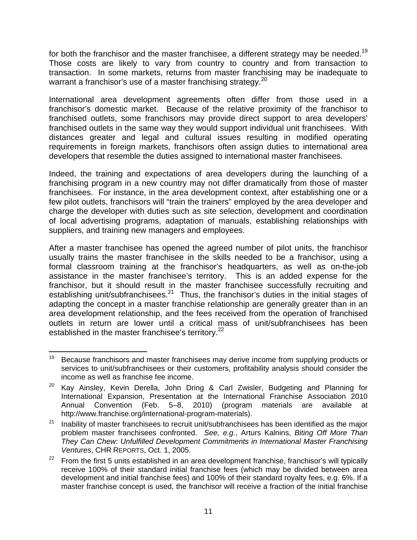for both the franchisor and the master franchisee, a different strategy may be needed.<sup>19</sup> Those costs are likely to vary from country to country and from transaction to transaction. In some markets, returns from master franchising may be inadequate to warrant a franchisor's use of a master franchising strategy.<sup>20</sup>

International area development agreements often differ from those used in a franchisor's domestic market. Because of the relative proximity of the franchisor to franchised outlets, some franchisors may provide direct support to area developers' franchised outlets in the same way they would support individual unit franchisees. With distances greater and legal and cultural issues resulting in modified operating requirements in foreign markets, franchisors often assign duties to international area developers that resemble the duties assigned to international master franchisees.

Indeed, the training and expectations of area developers during the launching of a franchising program in a new country may not differ dramatically from those of master franchisees. For instance, in the area development context, after establishing one or a few pilot outlets, franchisors will "train the trainers" employed by the area developer and charge the developer with duties such as site selection, development and coordination of local advertising programs, adaptation of manuals, establishing relationships with suppliers, and training new managers and employees.

After a master franchisee has opened the agreed number of pilot units, the franchisor usually trains the master franchisee in the skills needed to be a franchisor, using a formal classroom training at the franchisor's headquarters, as well as on-the-job assistance in the master franchisee's territory. This is an added expense for the franchisor, but it should result in the master franchisee successfully recruiting and establishing unit/subfranchisees.<sup>21</sup> Thus, the franchisor's duties in the initial stages of adapting the concept in a master franchise relationship are generally greater than in an area development relationship, and the fees received from the operation of franchised outlets in return are lower until a critical mass of unit/subfranchisees has been established in the master franchisee's territory.<sup>22</sup>

  $19$  Because franchisors and master franchisees may derive income from supplying products or services to unit/subfranchisees or their customers, profitability analysis should consider the income as well as franchise fee income.

<sup>&</sup>lt;sup>20</sup> Kay Ainsley, Kevin Derella, John Dring & Carl Zwisler, Budgeting and Planning for International Expansion, Presentation at the International Franchise Association 2010 Annual Convention (Feb. 5–8, 2010) (program materials are available at http://www.franchise.org/international-program-materials).

 $21$  Inability of master franchisees to recruit unit/subfranchisees has been identified as the major problem master franchisees confronted. *See, e.g.*, Arturs Kalnins, *Biting Off More Than They Can Chew: Unfulfilled Development Commitments in International Master Franchising Ventures*, CHR REPORTS, Oct. 1, 2005.

 $22$  From the first 5 units established in an area development franchise, franchisor's will typically receive 100% of their standard initial franchise fees (which may be divided between area development and initial franchise fees) and 100% of their standard royalty fees, e.g. 6%. If a master franchise concept is used, the franchisor will receive a fraction of the initial franchise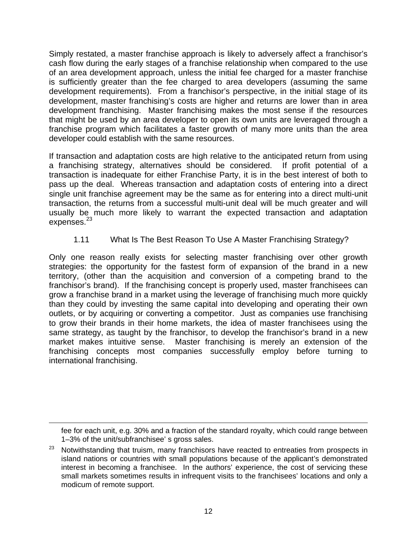Simply restated, a master franchise approach is likely to adversely affect a franchisor's cash flow during the early stages of a franchise relationship when compared to the use of an area development approach, unless the initial fee charged for a master franchise is sufficiently greater than the fee charged to area developers (assuming the same development requirements). From a franchisor's perspective, in the initial stage of its development, master franchising's costs are higher and returns are lower than in area development franchising. Master franchising makes the most sense if the resources that might be used by an area developer to open its own units are leveraged through a franchise program which facilitates a faster growth of many more units than the area developer could establish with the same resources.

If transaction and adaptation costs are high relative to the anticipated return from using a franchising strategy, alternatives should be considered. If profit potential of a transaction is inadequate for either Franchise Party, it is in the best interest of both to pass up the deal. Whereas transaction and adaptation costs of entering into a direct single unit franchise agreement may be the same as for entering into a direct multi-unit transaction, the returns from a successful multi-unit deal will be much greater and will usually be much more likely to warrant the expected transaction and adaptation expenses.<sup>23</sup>

1.11 What Is The Best Reason To Use A Master Franchising Strategy?

Only one reason really exists for selecting master franchising over other growth strategies: the opportunity for the fastest form of expansion of the brand in a new territory, (other than the acquisition and conversion of a competing brand to the franchisor's brand). If the franchising concept is properly used, master franchisees can grow a franchise brand in a market using the leverage of franchising much more quickly than they could by investing the same capital into developing and operating their own outlets, or by acquiring or converting a competitor. Just as companies use franchising to grow their brands in their home markets, the idea of master franchisees using the same strategy, as taught by the franchisor, to develop the franchisor's brand in a new market makes intuitive sense. Master franchising is merely an extension of the franchising concepts most companies successfully employ before turning to international franchising.

<u> 1989 - Johann Stein, marwolaethau a bhannaich an t-an an t-an an t-an an t-an an t-an an t-an an t-an an t-a</u>

fee for each unit, e.g. 30% and a fraction of the standard royalty, which could range between 1–3% of the unit/subfranchisee' s gross sales.

 $23$  Notwithstanding that truism, many franchisors have reacted to entreaties from prospects in island nations or countries with small populations because of the applicant's demonstrated interest in becoming a franchisee. In the authors' experience, the cost of servicing these small markets sometimes results in infrequent visits to the franchisees' locations and only a modicum of remote support.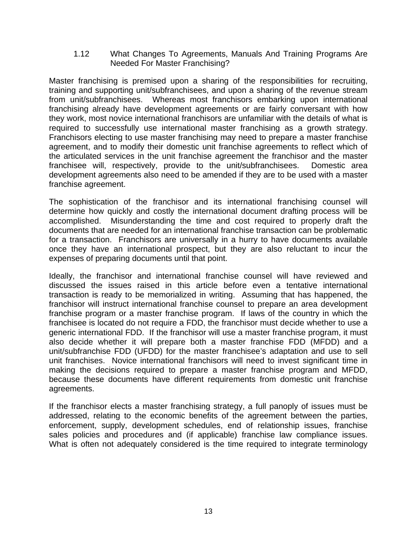1.12 What Changes To Agreements, Manuals And Training Programs Are Needed For Master Franchising?

Master franchising is premised upon a sharing of the responsibilities for recruiting, training and supporting unit/subfranchisees, and upon a sharing of the revenue stream from unit/subfranchisees. Whereas most franchisors embarking upon international franchising already have development agreements or are fairly conversant with how they work, most novice international franchisors are unfamiliar with the details of what is required to successfully use international master franchising as a growth strategy. Franchisors electing to use master franchising may need to prepare a master franchise agreement, and to modify their domestic unit franchise agreements to reflect which of the articulated services in the unit franchise agreement the franchisor and the master franchisee will, respectively, provide to the unit/subfranchisees. Domestic area development agreements also need to be amended if they are to be used with a master franchise agreement.

The sophistication of the franchisor and its international franchising counsel will determine how quickly and costly the international document drafting process will be accomplished. Misunderstanding the time and cost required to properly draft the documents that are needed for an international franchise transaction can be problematic for a transaction. Franchisors are universally in a hurry to have documents available once they have an international prospect, but they are also reluctant to incur the expenses of preparing documents until that point.

Ideally, the franchisor and international franchise counsel will have reviewed and discussed the issues raised in this article before even a tentative international transaction is ready to be memorialized in writing. Assuming that has happened, the franchisor will instruct international franchise counsel to prepare an area development franchise program or a master franchise program. If laws of the country in which the franchisee is located do not require a FDD, the franchisor must decide whether to use a generic international FDD. If the franchisor will use a master franchise program, it must also decide whether it will prepare both a master franchise FDD (MFDD) and a unit/subfranchise FDD (UFDD) for the master franchisee's adaptation and use to sell unit franchises. Novice international franchisors will need to invest significant time in making the decisions required to prepare a master franchise program and MFDD, because these documents have different requirements from domestic unit franchise agreements.

If the franchisor elects a master franchising strategy, a full panoply of issues must be addressed, relating to the economic benefits of the agreement between the parties, enforcement, supply, development schedules, end of relationship issues, franchise sales policies and procedures and (if applicable) franchise law compliance issues. What is often not adequately considered is the time required to integrate terminology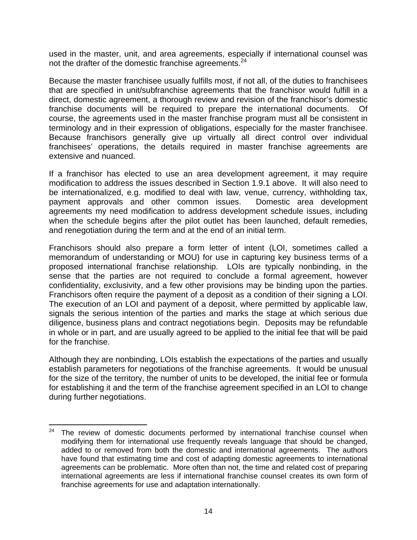used in the master, unit, and area agreements, especially if international counsel was not the drafter of the domestic franchise agreements.<sup>24</sup>

Because the master franchisee usually fulfills most, if not all, of the duties to franchisees that are specified in unit/subfranchise agreements that the franchisor would fulfill in a direct, domestic agreement, a thorough review and revision of the franchisor's domestic franchise documents will be required to prepare the international documents. Of course, the agreements used in the master franchise program must all be consistent in terminology and in their expression of obligations, especially for the master franchisee. Because franchisors generally give up virtually all direct control over individual franchisees' operations, the details required in master franchise agreements are extensive and nuanced.

If a franchisor has elected to use an area development agreement, it may require modification to address the issues described in Section 1.9.1 above. It will also need to be internationalized, e.g. modified to deal with law, venue, currency, withholding tax, payment approvals and other common issues. Domestic area development agreements my need modification to address development schedule issues, including when the schedule begins after the pilot outlet has been launched, default remedies, and renegotiation during the term and at the end of an initial term.

Franchisors should also prepare a form letter of intent (LOI, sometimes called a memorandum of understanding or MOU) for use in capturing key business terms of a proposed international franchise relationship. LOIs are typically nonbinding, in the sense that the parties are not required to conclude a formal agreement, however confidentiality, exclusivity, and a few other provisions may be binding upon the parties. Franchisors often require the payment of a deposit as a condition of their signing a LOI. The execution of an LOI and payment of a deposit, where permitted by applicable law, signals the serious intention of the parties and marks the stage at which serious due diligence, business plans and contract negotiations begin. Deposits may be refundable in whole or in part, and are usually agreed to be applied to the initial fee that will be paid for the franchise.

Although they are nonbinding, LOIs establish the expectations of the parties and usually establish parameters for negotiations of the franchise agreements. It would be unusual for the size of the territory, the number of units to be developed, the initial fee or formula for establishing it and the term of the franchise agreement specified in an LOI to change during further negotiations.

  $24$  The review of domestic documents performed by international franchise counsel when modifying them for international use frequently reveals language that should be changed, added to or removed from both the domestic and international agreements. The authors have found that estimating time and cost of adapting domestic agreements to international agreements can be problematic. More often than not, the time and related cost of preparing international agreements are less if international franchise counsel creates its own form of franchise agreements for use and adaptation internationally.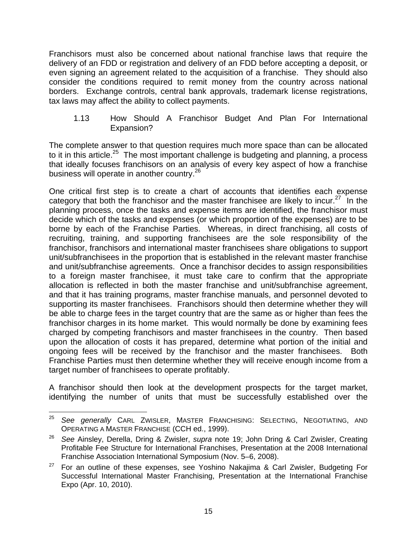Franchisors must also be concerned about national franchise laws that require the delivery of an FDD or registration and delivery of an FDD before accepting a deposit, or even signing an agreement related to the acquisition of a franchise. They should also consider the conditions required to remit money from the country across national borders. Exchange controls, central bank approvals, trademark license registrations, tax laws may affect the ability to collect payments.

1.13 How Should A Franchisor Budget And Plan For International Expansion?

The complete answer to that question requires much more space than can be allocated to it in this article.<sup>25</sup> The most important challenge is budgeting and planning, a process that ideally focuses franchisors on an analysis of every key aspect of how a franchise business will operate in another country.<sup>26</sup>

One critical first step is to create a chart of accounts that identifies each expense category that both the franchisor and the master franchisee are likely to incur.<sup>27</sup> In the planning process, once the tasks and expense items are identified, the franchisor must decide which of the tasks and expenses (or which proportion of the expenses) are to be borne by each of the Franchise Parties. Whereas, in direct franchising, all costs of recruiting, training, and supporting franchisees are the sole responsibility of the franchisor, franchisors and international master franchisees share obligations to support unit/subfranchisees in the proportion that is established in the relevant master franchise and unit/subfranchise agreements. Once a franchisor decides to assign responsibilities to a foreign master franchisee, it must take care to confirm that the appropriate allocation is reflected in both the master franchise and unit/subfranchise agreement, and that it has training programs, master franchise manuals, and personnel devoted to supporting its master franchisees. Franchisors should then determine whether they will be able to charge fees in the target country that are the same as or higher than fees the franchisor charges in its home market. This would normally be done by examining fees charged by competing franchisors and master franchisees in the country. Then based upon the allocation of costs it has prepared, determine what portion of the initial and ongoing fees will be received by the franchisor and the master franchisees. Both Franchise Parties must then determine whether they will receive enough income from a target number of franchisees to operate profitably.

A franchisor should then look at the development prospects for the target market, identifying the number of units that must be successfully established over the

 <sup>25</sup> *See generally* CARL ZWISLER, MASTER FRANCHISING: SELECTING, NEGOTIATING, AND OPERATING A MASTER FRANCHISE (CCH ed., 1999).

<sup>26</sup> *See* Ainsley, Derella, Dring & Zwisler, *supra* note 19; John Dring & Carl Zwisler, Creating Profitable Fee Structure for International Franchises, Presentation at the 2008 International Franchise Association International Symposium (Nov. 5–6, 2008).

 $27$  For an outline of these expenses, see Yoshino Nakajima & Carl Zwisler, Budgeting For Successful International Master Franchising, Presentation at the International Franchise Expo (Apr. 10, 2010).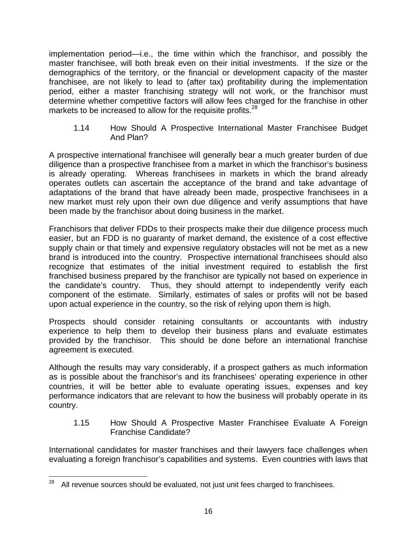implementation period—i.e., the time within which the franchisor, and possibly the master franchisee, will both break even on their initial investments. If the size or the demographics of the territory, or the financial or development capacity of the master franchisee, are not likely to lead to (after tax) profitability during the implementation period, either a master franchising strategy will not work, or the franchisor must determine whether competitive factors will allow fees charged for the franchise in other markets to be increased to allow for the requisite profits.<sup>28</sup>

1.14 How Should A Prospective International Master Franchisee Budget And Plan?

A prospective international franchisee will generally bear a much greater burden of due diligence than a prospective franchisee from a market in which the franchisor's business is already operating. Whereas franchisees in markets in which the brand already operates outlets can ascertain the acceptance of the brand and take advantage of adaptations of the brand that have already been made, prospective franchisees in a new market must rely upon their own due diligence and verify assumptions that have been made by the franchisor about doing business in the market.

Franchisors that deliver FDDs to their prospects make their due diligence process much easier, but an FDD is no guaranty of market demand, the existence of a cost effective supply chain or that timely and expensive regulatory obstacles will not be met as a new brand is introduced into the country. Prospective international franchisees should also recognize that estimates of the initial investment required to establish the first franchised business prepared by the franchisor are typically not based on experience in the candidate's country. Thus, they should attempt to independently verify each component of the estimate. Similarly, estimates of sales or profits will not be based upon actual experience in the country, so the risk of relying upon them is high.

Prospects should consider retaining consultants or accountants with industry experience to help them to develop their business plans and evaluate estimates provided by the franchisor. This should be done before an international franchise agreement is executed.

Although the results may vary considerably, if a prospect gathers as much information as is possible about the franchisor's and its franchisees' operating experience in other countries, it will be better able to evaluate operating issues, expenses and key performance indicators that are relevant to how the business will probably operate in its country.

1.15 How Should A Prospective Master Franchisee Evaluate A Foreign Franchise Candidate?

International candidates for master franchises and their lawyers face challenges when evaluating a foreign franchisor's capabilities and systems. Even countries with laws that

  $28$  All revenue sources should be evaluated, not just unit fees charged to franchisees.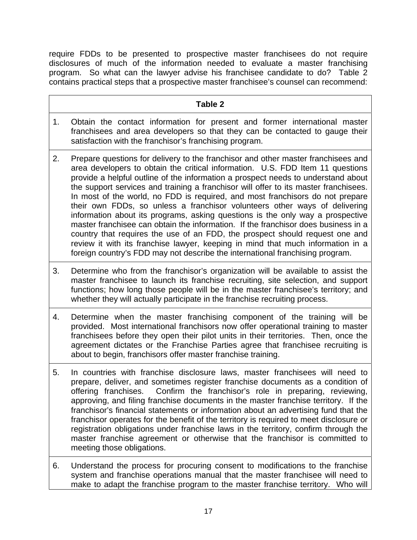require FDDs to be presented to prospective master franchisees do not require disclosures of much of the information needed to evaluate a master franchising program. So what can the lawyer advise his franchisee candidate to do? Table 2 contains practical steps that a prospective master franchisee's counsel can recommend:

#### **Table 2**

- 1. Obtain the contact information for present and former international master franchisees and area developers so that they can be contacted to gauge their satisfaction with the franchisor's franchising program.
- 2. Prepare questions for delivery to the franchisor and other master franchisees and area developers to obtain the critical information. U.S. FDD Item 11 questions provide a helpful outline of the information a prospect needs to understand about the support services and training a franchisor will offer to its master franchisees. In most of the world, no FDD is required, and most franchisors do not prepare their own FDDs, so unless a franchisor volunteers other ways of delivering information about its programs, asking questions is the only way a prospective master franchisee can obtain the information. If the franchisor does business in a country that requires the use of an FDD, the prospect should request one and review it with its franchise lawyer, keeping in mind that much information in a foreign country's FDD may not describe the international franchising program.
- 3. Determine who from the franchisor's organization will be available to assist the master franchisee to launch its franchise recruiting, site selection, and support functions; how long those people will be in the master franchisee's territory; and whether they will actually participate in the franchise recruiting process.
- 4. Determine when the master franchising component of the training will be provided. Most international franchisors now offer operational training to master franchisees before they open their pilot units in their territories. Then, once the agreement dictates or the Franchise Parties agree that franchisee recruiting is about to begin, franchisors offer master franchise training.
- 5. In countries with franchise disclosure laws, master franchisees will need to prepare, deliver, and sometimes register franchise documents as a condition of offering franchises. Confirm the franchisor's role in preparing, reviewing, approving, and filing franchise documents in the master franchise territory. If the franchisor's financial statements or information about an advertising fund that the franchisor operates for the benefit of the territory is required to meet disclosure or registration obligations under franchise laws in the territory, confirm through the master franchise agreement or otherwise that the franchisor is committed to meeting those obligations.
- 6. Understand the process for procuring consent to modifications to the franchise system and franchise operations manual that the master franchisee will need to make to adapt the franchise program to the master franchise territory. Who will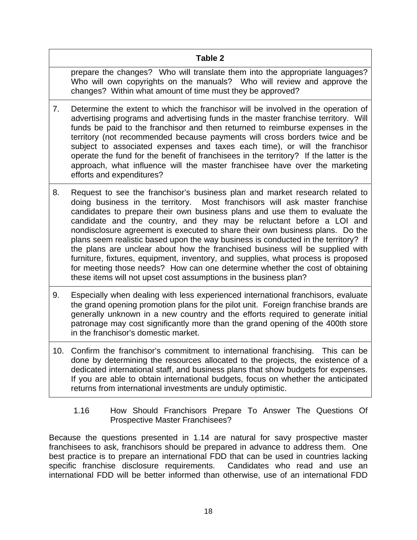## **Table 2**

prepare the changes? Who will translate them into the appropriate languages? Who will own copyrights on the manuals? Who will review and approve the changes? Within what amount of time must they be approved?

- 7. Determine the extent to which the franchisor will be involved in the operation of advertising programs and advertising funds in the master franchise territory. Will funds be paid to the franchisor and then returned to reimburse expenses in the territory (not recommended because payments will cross borders twice and be subject to associated expenses and taxes each time), or will the franchisor operate the fund for the benefit of franchisees in the territory? If the latter is the approach, what influence will the master franchisee have over the marketing efforts and expenditures?
- 8. Request to see the franchisor's business plan and market research related to doing business in the territory. Most franchisors will ask master franchise candidates to prepare their own business plans and use them to evaluate the candidate and the country, and they may be reluctant before a LOI and nondisclosure agreement is executed to share their own business plans. Do the plans seem realistic based upon the way business is conducted in the territory? If the plans are unclear about how the franchised business will be supplied with furniture, fixtures, equipment, inventory, and supplies, what process is proposed for meeting those needs? How can one determine whether the cost of obtaining these items will not upset cost assumptions in the business plan?
- 9. Especially when dealing with less experienced international franchisors, evaluate the grand opening promotion plans for the pilot unit. Foreign franchise brands are generally unknown in a new country and the efforts required to generate initial patronage may cost significantly more than the grand opening of the 400th store in the franchisor's domestic market.
- 10. Confirm the franchisor's commitment to international franchising. This can be done by determining the resources allocated to the projects, the existence of a dedicated international staff, and business plans that show budgets for expenses. If you are able to obtain international budgets, focus on whether the anticipated returns from international investments are unduly optimistic.
	- 1.16 How Should Franchisors Prepare To Answer The Questions Of Prospective Master Franchisees?

Because the questions presented in 1.14 are natural for savy prospective master franchisees to ask, franchisors should be prepared in advance to address them. One best practice is to prepare an international FDD that can be used in countries lacking specific franchise disclosure requirements. Candidates who read and use an international FDD will be better informed than otherwise, use of an international FDD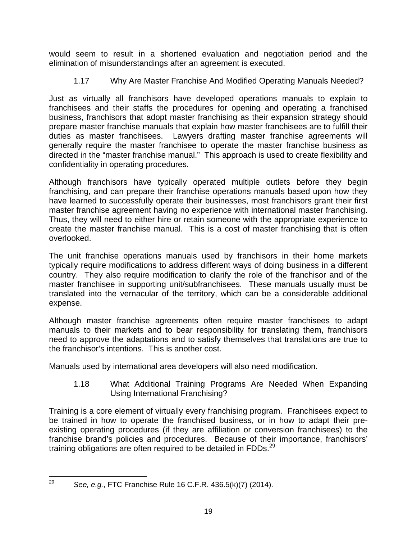would seem to result in a shortened evaluation and negotiation period and the elimination of misunderstandings after an agreement is executed.

1.17 Why Are Master Franchise And Modified Operating Manuals Needed?

Just as virtually all franchisors have developed operations manuals to explain to franchisees and their staffs the procedures for opening and operating a franchised business, franchisors that adopt master franchising as their expansion strategy should prepare master franchise manuals that explain how master franchisees are to fulfill their duties as master franchisees. Lawyers drafting master franchise agreements will generally require the master franchisee to operate the master franchise business as directed in the "master franchise manual." This approach is used to create flexibility and confidentiality in operating procedures.

Although franchisors have typically operated multiple outlets before they begin franchising, and can prepare their franchise operations manuals based upon how they have learned to successfully operate their businesses, most franchisors grant their first master franchise agreement having no experience with international master franchising. Thus, they will need to either hire or retain someone with the appropriate experience to create the master franchise manual. This is a cost of master franchising that is often overlooked.

The unit franchise operations manuals used by franchisors in their home markets typically require modifications to address different ways of doing business in a different country. They also require modification to clarify the role of the franchisor and of the master franchisee in supporting unit/subfranchisees. These manuals usually must be translated into the vernacular of the territory, which can be a considerable additional expense.

Although master franchise agreements often require master franchisees to adapt manuals to their markets and to bear responsibility for translating them, franchisors need to approve the adaptations and to satisfy themselves that translations are true to the franchisor's intentions. This is another cost.

Manuals used by international area developers will also need modification.

1.18 What Additional Training Programs Are Needed When Expanding Using International Franchising?

Training is a core element of virtually every franchising program. Franchisees expect to be trained in how to operate the franchised business, or in how to adapt their preexisting operating procedures (if they are affiliation or conversion franchisees) to the franchise brand's policies and procedures. Because of their importance, franchisors' training obligations are often required to be detailed in FDDs.<sup>29</sup>

 <sup>29</sup> *See, e.g.*, FTC Franchise Rule 16 C.F.R. 436.5(k)(7) (2014).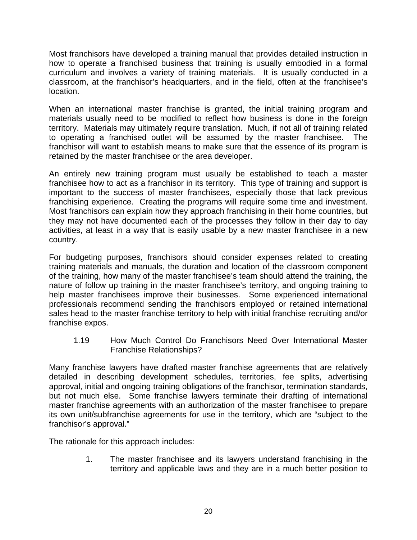Most franchisors have developed a training manual that provides detailed instruction in how to operate a franchised business that training is usually embodied in a formal curriculum and involves a variety of training materials. It is usually conducted in a classroom, at the franchisor's headquarters, and in the field, often at the franchisee's location.

When an international master franchise is granted, the initial training program and materials usually need to be modified to reflect how business is done in the foreign territory. Materials may ultimately require translation. Much, if not all of training related to operating a franchised outlet will be assumed by the master franchisee. The franchisor will want to establish means to make sure that the essence of its program is retained by the master franchisee or the area developer.

An entirely new training program must usually be established to teach a master franchisee how to act as a franchisor in its territory. This type of training and support is important to the success of master franchisees, especially those that lack previous franchising experience. Creating the programs will require some time and investment. Most franchisors can explain how they approach franchising in their home countries, but they may not have documented each of the processes they follow in their day to day activities, at least in a way that is easily usable by a new master franchisee in a new country.

For budgeting purposes, franchisors should consider expenses related to creating training materials and manuals, the duration and location of the classroom component of the training, how many of the master franchisee's team should attend the training, the nature of follow up training in the master franchisee's territory, and ongoing training to help master franchisees improve their businesses. Some experienced international professionals recommend sending the franchisors employed or retained international sales head to the master franchise territory to help with initial franchise recruiting and/or franchise expos.

1.19 How Much Control Do Franchisors Need Over International Master Franchise Relationships?

Many franchise lawyers have drafted master franchise agreements that are relatively detailed in describing development schedules, territories, fee splits, advertising approval, initial and ongoing training obligations of the franchisor, termination standards, but not much else. Some franchise lawyers terminate their drafting of international master franchise agreements with an authorization of the master franchisee to prepare its own unit/subfranchise agreements for use in the territory, which are "subject to the franchisor's approval."

The rationale for this approach includes:

1. The master franchisee and its lawyers understand franchising in the territory and applicable laws and they are in a much better position to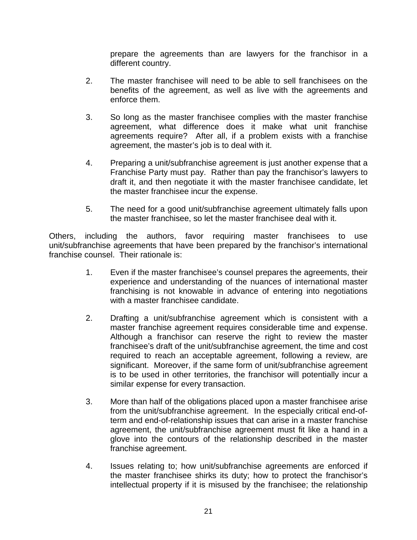prepare the agreements than are lawyers for the franchisor in a different country.

- 2. The master franchisee will need to be able to sell franchisees on the benefits of the agreement, as well as live with the agreements and enforce them.
- 3. So long as the master franchisee complies with the master franchise agreement, what difference does it make what unit franchise agreements require? After all, if a problem exists with a franchise agreement, the master's job is to deal with it.
- 4. Preparing a unit/subfranchise agreement is just another expense that a Franchise Party must pay. Rather than pay the franchisor's lawyers to draft it, and then negotiate it with the master franchisee candidate, let the master franchisee incur the expense.
- 5. The need for a good unit/subfranchise agreement ultimately falls upon the master franchisee, so let the master franchisee deal with it.

Others, including the authors, favor requiring master franchisees to use unit/subfranchise agreements that have been prepared by the franchisor's international franchise counsel. Their rationale is:

- 1. Even if the master franchisee's counsel prepares the agreements, their experience and understanding of the nuances of international master franchising is not knowable in advance of entering into negotiations with a master franchisee candidate.
- 2. Drafting a unit/subfranchise agreement which is consistent with a master franchise agreement requires considerable time and expense. Although a franchisor can reserve the right to review the master franchisee's draft of the unit/subfranchise agreement, the time and cost required to reach an acceptable agreement, following a review, are significant. Moreover, if the same form of unit/subfranchise agreement is to be used in other territories, the franchisor will potentially incur a similar expense for every transaction.
- 3. More than half of the obligations placed upon a master franchisee arise from the unit/subfranchise agreement. In the especially critical end-ofterm and end-of-relationship issues that can arise in a master franchise agreement, the unit/subfranchise agreement must fit like a hand in a glove into the contours of the relationship described in the master franchise agreement.
- 4. Issues relating to; how unit/subfranchise agreements are enforced if the master franchisee shirks its duty; how to protect the franchisor's intellectual property if it is misused by the franchisee; the relationship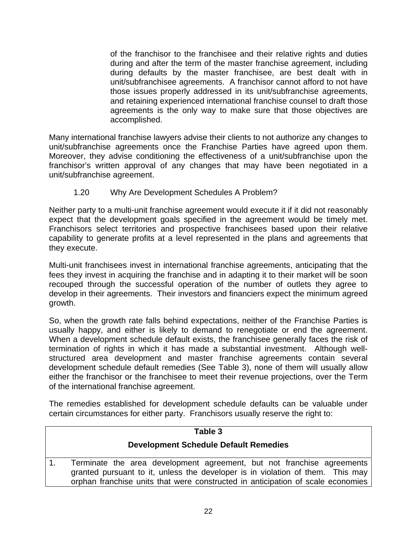of the franchisor to the franchisee and their relative rights and duties during and after the term of the master franchise agreement, including during defaults by the master franchisee, are best dealt with in unit/subfranchisee agreements. A franchisor cannot afford to not have those issues properly addressed in its unit/subfranchise agreements, and retaining experienced international franchise counsel to draft those agreements is the only way to make sure that those objectives are accomplished.

Many international franchise lawyers advise their clients to not authorize any changes to unit/subfranchise agreements once the Franchise Parties have agreed upon them. Moreover, they advise conditioning the effectiveness of a unit/subfranchise upon the franchisor's written approval of any changes that may have been negotiated in a unit/subfranchise agreement.

1.20 Why Are Development Schedules A Problem?

Neither party to a multi-unit franchise agreement would execute it if it did not reasonably expect that the development goals specified in the agreement would be timely met. Franchisors select territories and prospective franchisees based upon their relative capability to generate profits at a level represented in the plans and agreements that they execute.

Multi-unit franchisees invest in international franchise agreements, anticipating that the fees they invest in acquiring the franchise and in adapting it to their market will be soon recouped through the successful operation of the number of outlets they agree to develop in their agreements. Their investors and financiers expect the minimum agreed growth.

So, when the growth rate falls behind expectations, neither of the Franchise Parties is usually happy, and either is likely to demand to renegotiate or end the agreement. When a development schedule default exists, the franchisee generally faces the risk of termination of rights in which it has made a substantial investment. Although wellstructured area development and master franchise agreements contain several development schedule default remedies (See Table 3), none of them will usually allow either the franchisor or the franchisee to meet their revenue projections, over the Term of the international franchise agreement.

The remedies established for development schedule defaults can be valuable under certain circumstances for either party. Franchisors usually reserve the right to:

#### **Table 3**

#### **Development Schedule Default Remedies**

1. Terminate the area development agreement, but not franchise agreements granted pursuant to it, unless the developer is in violation of them. This may orphan franchise units that were constructed in anticipation of scale economies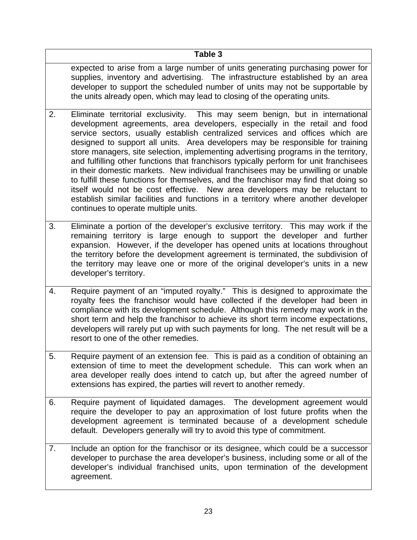## **Table 3**

expected to arise from a large number of units generating purchasing power for supplies, inventory and advertising. The infrastructure established by an area developer to support the scheduled number of units may not be supportable by the units already open, which may lead to closing of the operating units.

- 2. Eliminate territorial exclusivity. This may seem benign, but in international development agreements, area developers, especially in the retail and food service sectors, usually establish centralized services and offices which are designed to support all units. Area developers may be responsible for training store managers, site selection, implementing advertising programs in the territory, and fulfilling other functions that franchisors typically perform for unit franchisees in their domestic markets. New individual franchisees may be unwilling or unable to fulfill these functions for themselves, and the franchisor may find that doing so itself would not be cost effective. New area developers may be reluctant to establish similar facilities and functions in a territory where another developer continues to operate multiple units.
- 3. Eliminate a portion of the developer's exclusive territory. This may work if the remaining territory is large enough to support the developer and further expansion. However, if the developer has opened units at locations throughout the territory before the development agreement is terminated, the subdivision of the territory may leave one or more of the original developer's units in a new developer's territory.
- 4. Require payment of an "imputed royalty." This is designed to approximate the royalty fees the franchisor would have collected if the developer had been in compliance with its development schedule. Although this remedy may work in the short term and help the franchisor to achieve its short term income expectations, developers will rarely put up with such payments for long. The net result will be a resort to one of the other remedies.
- 5. Require payment of an extension fee. This is paid as a condition of obtaining an extension of time to meet the development schedule. This can work when an area developer really does intend to catch up, but after the agreed number of extensions has expired, the parties will revert to another remedy.
- 6. Require payment of liquidated damages. The development agreement would require the developer to pay an approximation of lost future profits when the development agreement is terminated because of a development schedule default. Developers generally will try to avoid this type of commitment.
- 7. Include an option for the franchisor or its designee, which could be a successor developer to purchase the area developer's business, including some or all of the developer's individual franchised units, upon termination of the development agreement.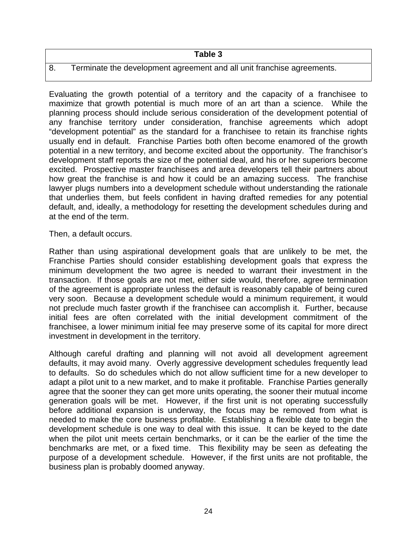#### 8. Terminate the development agreement and all unit franchise agreements.

Evaluating the growth potential of a territory and the capacity of a franchisee to maximize that growth potential is much more of an art than a science. While the planning process should include serious consideration of the development potential of any franchise territory under consideration, franchise agreements which adopt "development potential" as the standard for a franchisee to retain its franchise rights usually end in default. Franchise Parties both often become enamored of the growth potential in a new territory, and become excited about the opportunity. The franchisor's development staff reports the size of the potential deal, and his or her superiors become excited. Prospective master franchisees and area developers tell their partners about how great the franchise is and how it could be an amazing success. The franchise lawyer plugs numbers into a development schedule without understanding the rationale that underlies them, but feels confident in having drafted remedies for any potential default, and, ideally, a methodology for resetting the development schedules during and at the end of the term.

Then, a default occurs.

Rather than using aspirational development goals that are unlikely to be met, the Franchise Parties should consider establishing development goals that express the minimum development the two agree is needed to warrant their investment in the transaction. If those goals are not met, either side would, therefore, agree termination of the agreement is appropriate unless the default is reasonably capable of being cured very soon. Because a development schedule would a minimum requirement, it would not preclude much faster growth if the franchisee can accomplish it. Further, because initial fees are often correlated with the initial development commitment of the franchisee, a lower minimum initial fee may preserve some of its capital for more direct investment in development in the territory.

Although careful drafting and planning will not avoid all development agreement defaults, it may avoid many. Overly aggressive development schedules frequently lead to defaults. So do schedules which do not allow sufficient time for a new developer to adapt a pilot unit to a new market, and to make it profitable. Franchise Parties generally agree that the sooner they can get more units operating, the sooner their mutual income generation goals will be met. However, if the first unit is not operating successfully before additional expansion is underway, the focus may be removed from what is needed to make the core business profitable. Establishing a flexible date to begin the development schedule is one way to deal with this issue. It can be keyed to the date when the pilot unit meets certain benchmarks, or it can be the earlier of the time the benchmarks are met, or a fixed time. This flexibility may be seen as defeating the purpose of a development schedule. However, if the first units are not profitable, the business plan is probably doomed anyway.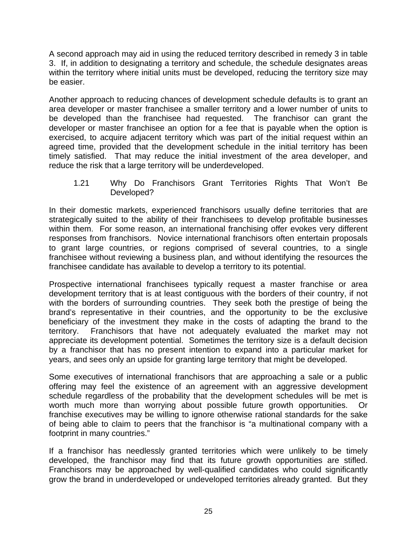A second approach may aid in using the reduced territory described in remedy 3 in table 3. If, in addition to designating a territory and schedule, the schedule designates areas within the territory where initial units must be developed, reducing the territory size may be easier.

Another approach to reducing chances of development schedule defaults is to grant an area developer or master franchisee a smaller territory and a lower number of units to be developed than the franchisee had requested. The franchisor can grant the developer or master franchisee an option for a fee that is payable when the option is exercised, to acquire adjacent territory which was part of the initial request within an agreed time, provided that the development schedule in the initial territory has been timely satisfied. That may reduce the initial investment of the area developer, and reduce the risk that a large territory will be underdeveloped.

1.21 Why Do Franchisors Grant Territories Rights That Won't Be Developed?

In their domestic markets, experienced franchisors usually define territories that are strategically suited to the ability of their franchisees to develop profitable businesses within them. For some reason, an international franchising offer evokes very different responses from franchisors. Novice international franchisors often entertain proposals to grant large countries, or regions comprised of several countries, to a single franchisee without reviewing a business plan, and without identifying the resources the franchisee candidate has available to develop a territory to its potential.

Prospective international franchisees typically request a master franchise or area development territory that is at least contiguous with the borders of their country, if not with the borders of surrounding countries. They seek both the prestige of being the brand's representative in their countries, and the opportunity to be the exclusive beneficiary of the investment they make in the costs of adapting the brand to the territory. Franchisors that have not adequately evaluated the market may not appreciate its development potential. Sometimes the territory size is a default decision by a franchisor that has no present intention to expand into a particular market for years, and sees only an upside for granting large territory that might be developed.

Some executives of international franchisors that are approaching a sale or a public offering may feel the existence of an agreement with an aggressive development schedule regardless of the probability that the development schedules will be met is worth much more than worrying about possible future growth opportunities. Or franchise executives may be willing to ignore otherwise rational standards for the sake of being able to claim to peers that the franchisor is "a multinational company with a footprint in many countries."

If a franchisor has needlessly granted territories which were unlikely to be timely developed, the franchisor may find that its future growth opportunities are stifled. Franchisors may be approached by well-qualified candidates who could significantly grow the brand in underdeveloped or undeveloped territories already granted. But they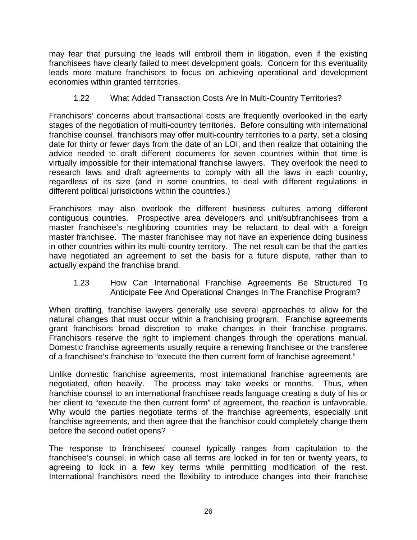may fear that pursuing the leads will embroil them in litigation, even if the existing franchisees have clearly failed to meet development goals. Concern for this eventuality leads more mature franchisors to focus on achieving operational and development economies within granted territories.

#### 1.22 What Added Transaction Costs Are In Multi-Country Territories?

Franchisors' concerns about transactional costs are frequently overlooked in the early stages of the negotiation of multi-country territories. Before consulting with international franchise counsel, franchisors may offer multi-country territories to a party, set a closing date for thirty or fewer days from the date of an LOI, and then realize that obtaining the advice needed to draft different documents for seven countries within that time is virtually impossible for their international franchise lawyers. They overlook the need to research laws and draft agreements to comply with all the laws in each country, regardless of its size (and in some countries, to deal with different regulations in different political jurisdictions within the countries.)

Franchisors may also overlook the different business cultures among different contiguous countries. Prospective area developers and unit/subfranchisees from a master franchisee's neighboring countries may be reluctant to deal with a foreign master franchisee. The master franchisee may not have an experience doing business in other countries within its multi-country territory. The net result can be that the parties have negotiated an agreement to set the basis for a future dispute, rather than to actually expand the franchise brand.

#### 1.23 How Can International Franchise Agreements Be Structured To Anticipate Fee And Operational Changes In The Franchise Program?

When drafting, franchise lawyers generally use several approaches to allow for the natural changes that must occur within a franchising program. Franchise agreements grant franchisors broad discretion to make changes in their franchise programs. Franchisors reserve the right to implement changes through the operations manual. Domestic franchise agreements usually require a renewing franchisee or the transferee of a franchisee's franchise to "execute the then current form of franchise agreement."

Unlike domestic franchise agreements, most international franchise agreements are negotiated, often heavily. The process may take weeks or months. Thus, when franchise counsel to an international franchisee reads language creating a duty of his or her client to "execute the then current form" of agreement, the reaction is unfavorable. Why would the parties negotiate terms of the franchise agreements, especially unit franchise agreements, and then agree that the franchisor could completely change them before the second outlet opens?

The response to franchisees' counsel typically ranges from capitulation to the franchisee's counsel, in which case all terms are locked in for ten or twenty years, to agreeing to lock in a few key terms while permitting modification of the rest. International franchisors need the flexibility to introduce changes into their franchise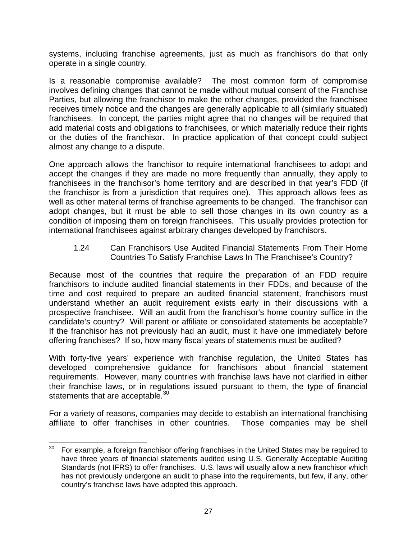systems, including franchise agreements, just as much as franchisors do that only operate in a single country.

Is a reasonable compromise available? The most common form of compromise involves defining changes that cannot be made without mutual consent of the Franchise Parties, but allowing the franchisor to make the other changes, provided the franchisee receives timely notice and the changes are generally applicable to all (similarly situated) franchisees. In concept, the parties might agree that no changes will be required that add material costs and obligations to franchisees, or which materially reduce their rights or the duties of the franchisor. In practice application of that concept could subject almost any change to a dispute.

One approach allows the franchisor to require international franchisees to adopt and accept the changes if they are made no more frequently than annually, they apply to franchisees in the franchisor's home territory and are described in that year's FDD (if the franchisor is from a jurisdiction that requires one). This approach allows fees as well as other material terms of franchise agreements to be changed. The franchisor can adopt changes, but it must be able to sell those changes in its own country as a condition of imposing them on foreign franchisees. This usually provides protection for international franchisees against arbitrary changes developed by franchisors.

1.24 Can Franchisors Use Audited Financial Statements From Their Home Countries To Satisfy Franchise Laws In The Franchisee's Country?

Because most of the countries that require the preparation of an FDD require franchisors to include audited financial statements in their FDDs, and because of the time and cost required to prepare an audited financial statement, franchisors must understand whether an audit requirement exists early in their discussions with a prospective franchisee. Will an audit from the franchisor's home country suffice in the candidate's country? Will parent or affiliate or consolidated statements be acceptable? If the franchisor has not previously had an audit, must it have one immediately before offering franchises? If so, how many fiscal years of statements must be audited?

With forty-five years' experience with franchise regulation, the United States has developed comprehensive guidance for franchisors about financial statement requirements. However, many countries with franchise laws have not clarified in either their franchise laws, or in regulations issued pursuant to them, the type of financial statements that are acceptable.<sup>30</sup>

For a variety of reasons, companies may decide to establish an international franchising affiliate to offer franchises in other countries. Those companies may be shell

  $30$  For example, a foreign franchisor offering franchises in the United States may be required to have three years of financial statements audited using U.S. Generally Acceptable Auditing Standards (not IFRS) to offer franchises. U.S. laws will usually allow a new franchisor which has not previously undergone an audit to phase into the requirements, but few, if any, other country's franchise laws have adopted this approach.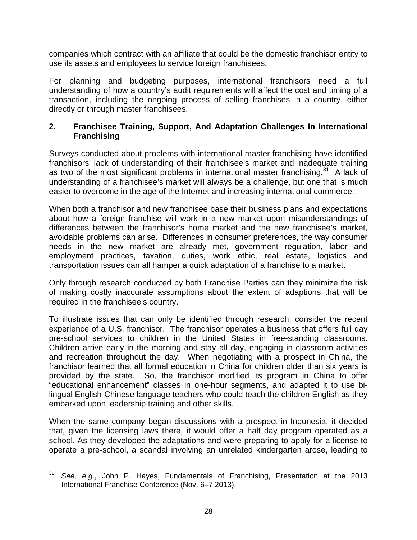companies which contract with an affiliate that could be the domestic franchisor entity to use its assets and employees to service foreign franchisees.

For planning and budgeting purposes, international franchisors need a full understanding of how a country's audit requirements will affect the cost and timing of a transaction, including the ongoing process of selling franchises in a country, either directly or through master franchisees.

#### **2. Franchisee Training, Support, And Adaptation Challenges In International Franchising**

Surveys conducted about problems with international master franchising have identified franchisors' lack of understanding of their franchisee's market and inadequate training as two of the most significant problems in international master franchising.<sup>31</sup> A lack of understanding of a franchisee's market will always be a challenge, but one that is much easier to overcome in the age of the Internet and increasing international commerce.

When both a franchisor and new franchisee base their business plans and expectations about how a foreign franchise will work in a new market upon misunderstandings of differences between the franchisor's home market and the new franchisee's market, avoidable problems can arise. Differences in consumer preferences, the way consumer needs in the new market are already met, government regulation, labor and employment practices, taxation, duties, work ethic, real estate, logistics and transportation issues can all hamper a quick adaptation of a franchise to a market.

Only through research conducted by both Franchise Parties can they minimize the risk of making costly inaccurate assumptions about the extent of adaptions that will be required in the franchisee's country.

To illustrate issues that can only be identified through research, consider the recent experience of a U.S. franchisor. The franchisor operates a business that offers full day pre-school services to children in the United States in free-standing classrooms. Children arrive early in the morning and stay all day, engaging in classroom activities and recreation throughout the day. When negotiating with a prospect in China, the franchisor learned that all formal education in China for children older than six years is provided by the state. So, the franchisor modified its program in China to offer "educational enhancement" classes in one-hour segments, and adapted it to use bilingual English-Chinese language teachers who could teach the children English as they embarked upon leadership training and other skills.

When the same company began discussions with a prospect in Indonesia, it decided that, given the licensing laws there, it would offer a half day program operated as a school. As they developed the adaptations and were preparing to apply for a license to operate a pre-school, a scandal involving an unrelated kindergarten arose, leading to

 <sup>31</sup> *See, e.g.*, John P. Hayes, Fundamentals of Franchising, Presentation at the 2013 International Franchise Conference (Nov. 6–7 2013).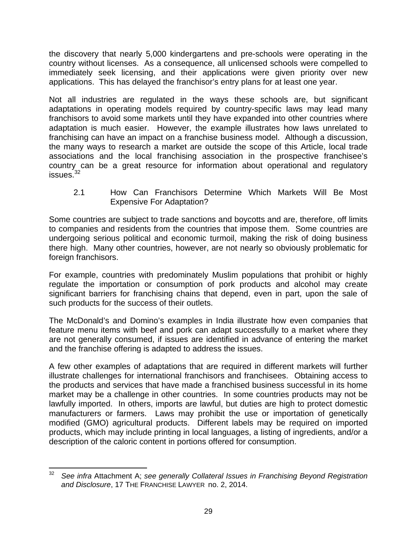the discovery that nearly 5,000 kindergartens and pre-schools were operating in the country without licenses. As a consequence, all unlicensed schools were compelled to immediately seek licensing, and their applications were given priority over new applications. This has delayed the franchisor's entry plans for at least one year.

Not all industries are regulated in the ways these schools are, but significant adaptations in operating models required by country-specific laws may lead many franchisors to avoid some markets until they have expanded into other countries where adaptation is much easier. However, the example illustrates how laws unrelated to franchising can have an impact on a franchise business model. Although a discussion, the many ways to research a market are outside the scope of this Article, local trade associations and the local franchising association in the prospective franchisee's country can be a great resource for information about operational and regulatory  $issues.<sup>32</sup>$ 

2.1 How Can Franchisors Determine Which Markets Will Be Most Expensive For Adaptation?

Some countries are subject to trade sanctions and boycotts and are, therefore, off limits to companies and residents from the countries that impose them. Some countries are undergoing serious political and economic turmoil, making the risk of doing business there high. Many other countries, however, are not nearly so obviously problematic for foreign franchisors.

For example, countries with predominately Muslim populations that prohibit or highly regulate the importation or consumption of pork products and alcohol may create significant barriers for franchising chains that depend, even in part, upon the sale of such products for the success of their outlets.

The McDonald's and Domino's examples in India illustrate how even companies that feature menu items with beef and pork can adapt successfully to a market where they are not generally consumed, if issues are identified in advance of entering the market and the franchise offering is adapted to address the issues.

A few other examples of adaptations that are required in different markets will further illustrate challenges for international franchisors and franchisees. Obtaining access to the products and services that have made a franchised business successful in its home market may be a challenge in other countries. In some countries products may not be lawfully imported. In others, imports are lawful, but duties are high to protect domestic manufacturers or farmers. Laws may prohibit the use or importation of genetically modified (GMO) agricultural products. Different labels may be required on imported products, which may include printing in local languages, a listing of ingredients, and/or a description of the caloric content in portions offered for consumption.

 32 *See infra* Attachment A; *see generally Collateral Issues in Franchising Beyond Registration and Disclosure*, 17 THE FRANCHISE LAWYER no. 2, 2014.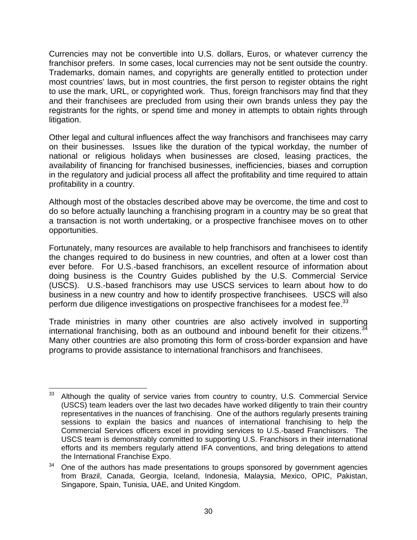Currencies may not be convertible into U.S. dollars, Euros, or whatever currency the franchisor prefers. In some cases, local currencies may not be sent outside the country. Trademarks, domain names, and copyrights are generally entitled to protection under most countries' laws, but in most countries, the first person to register obtains the right to use the mark, URL, or copyrighted work. Thus, foreign franchisors may find that they and their franchisees are precluded from using their own brands unless they pay the registrants for the rights, or spend time and money in attempts to obtain rights through litigation.

Other legal and cultural influences affect the way franchisors and franchisees may carry on their businesses. Issues like the duration of the typical workday, the number of national or religious holidays when businesses are closed, leasing practices, the availability of financing for franchised businesses, inefficiencies, biases and corruption in the regulatory and judicial process all affect the profitability and time required to attain profitability in a country.

Although most of the obstacles described above may be overcome, the time and cost to do so before actually launching a franchising program in a country may be so great that a transaction is not worth undertaking, or a prospective franchisee moves on to other opportunities.

Fortunately, many resources are available to help franchisors and franchisees to identify the changes required to do business in new countries, and often at a lower cost than ever before. For U.S.-based franchisors, an excellent resource of information about doing business is the Country Guides published by the U.S. Commercial Service (USCS). U.S.-based franchisors may use USCS services to learn about how to do business in a new country and how to identify prospective franchisees. USCS will also perform due diligence investigations on prospective franchisees for a modest fee.<sup>33</sup>

Trade ministries in many other countries are also actively involved in supporting international franchising, both as an outbound and inbound benefit for their citizens.<sup>3</sup> Many other countries are also promoting this form of cross-border expansion and have programs to provide assistance to international franchisors and franchisees.

 <sup>33</sup> Although the quality of service varies from country to country, U.S. Commercial Service (USCS) team leaders over the last two decades have worked diligently to train their country representatives in the nuances of franchising. One of the authors regularly presents training sessions to explain the basics and nuances of international franchising to help the Commercial Services officers excel in providing services to U.S.-based Franchisors. The USCS team is demonstrably committed to supporting U.S. Franchisors in their international efforts and its members regularly attend IFA conventions, and bring delegations to attend the International Franchise Expo.

 $34$  One of the authors has made presentations to groups sponsored by government agencies from Brazil, Canada, Georgia, Iceland, Indonesia, Malaysia, Mexico, OPIC, Pakistan, Singapore, Spain, Tunisia, UAE, and United Kingdom.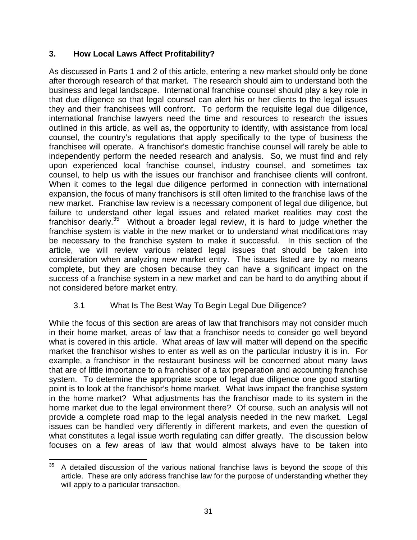## **3. How Local Laws Affect Profitability?**

As discussed in Parts 1 and 2 of this article, entering a new market should only be done after thorough research of that market. The research should aim to understand both the business and legal landscape. International franchise counsel should play a key role in that due diligence so that legal counsel can alert his or her clients to the legal issues they and their franchisees will confront. To perform the requisite legal due diligence, international franchise lawyers need the time and resources to research the issues outlined in this article, as well as, the opportunity to identify, with assistance from local counsel, the country's regulations that apply specifically to the type of business the franchisee will operate. A franchisor's domestic franchise counsel will rarely be able to independently perform the needed research and analysis. So, we must find and rely upon experienced local franchise counsel, industry counsel, and sometimes tax counsel, to help us with the issues our franchisor and franchisee clients will confront. When it comes to the legal due diligence performed in connection with international expansion, the focus of many franchisors is still often limited to the franchise laws of the new market. Franchise law review is a necessary component of legal due diligence, but failure to understand other legal issues and related market realities may cost the franchisor dearly. $35$  Without a broader legal review, it is hard to judge whether the franchise system is viable in the new market or to understand what modifications may be necessary to the franchise system to make it successful. In this section of the article, we will review various related legal issues that should be taken into consideration when analyzing new market entry. The issues listed are by no means complete, but they are chosen because they can have a significant impact on the success of a franchise system in a new market and can be hard to do anything about if not considered before market entry.

# 3.1 What Is The Best Way To Begin Legal Due Diligence?

While the focus of this section are areas of law that franchisors may not consider much in their home market, areas of law that a franchisor needs to consider go well beyond what is covered in this article. What areas of law will matter will depend on the specific market the franchisor wishes to enter as well as on the particular industry it is in. For example, a franchisor in the restaurant business will be concerned about many laws that are of little importance to a franchisor of a tax preparation and accounting franchise system. To determine the appropriate scope of legal due diligence one good starting point is to look at the franchisor's home market. What laws impact the franchise system in the home market? What adjustments has the franchisor made to its system in the home market due to the legal environment there? Of course, such an analysis will not provide a complete road map to the legal analysis needed in the new market. Legal issues can be handled very differently in different markets, and even the question of what constitutes a legal issue worth regulating can differ greatly. The discussion below focuses on a few areas of law that would almost always have to be taken into

  $35$  A detailed discussion of the various national franchise laws is beyond the scope of this article. These are only address franchise law for the purpose of understanding whether they will apply to a particular transaction.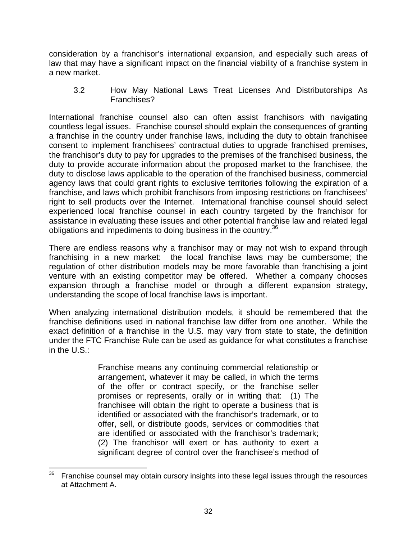consideration by a franchisor's international expansion, and especially such areas of law that may have a significant impact on the financial viability of a franchise system in a new market.

3.2 How May National Laws Treat Licenses And Distributorships As Franchises?

International franchise counsel also can often assist franchisors with navigating countless legal issues. Franchise counsel should explain the consequences of granting a franchise in the country under franchise laws, including the duty to obtain franchisee consent to implement franchisees' contractual duties to upgrade franchised premises, the franchisor's duty to pay for upgrades to the premises of the franchised business, the duty to provide accurate information about the proposed market to the franchisee, the duty to disclose laws applicable to the operation of the franchised business, commercial agency laws that could grant rights to exclusive territories following the expiration of a franchise, and laws which prohibit franchisors from imposing restrictions on franchisees' right to sell products over the Internet. International franchise counsel should select experienced local franchise counsel in each country targeted by the franchisor for assistance in evaluating these issues and other potential franchise law and related legal obligations and impediments to doing business in the country.<sup>36</sup>

There are endless reasons why a franchisor may or may not wish to expand through franchising in a new market: the local franchise laws may be cumbersome; the regulation of other distribution models may be more favorable than franchising a joint venture with an existing competitor may be offered. Whether a company chooses expansion through a franchise model or through a different expansion strategy, understanding the scope of local franchise laws is important.

When analyzing international distribution models, it should be remembered that the franchise definitions used in national franchise law differ from one another. While the exact definition of a franchise in the U.S. may vary from state to state, the definition under the FTC Franchise Rule can be used as guidance for what constitutes a franchise in the U.S.:

> Franchise means any continuing commercial relationship or arrangement, whatever it may be called, in which the terms of the offer or contract specify, or the franchise seller promises or represents, orally or in writing that: (1) The franchisee will obtain the right to operate a business that is identified or associated with the franchisor's trademark, or to offer, sell, or distribute goods, services or commodities that are identified or associated with the franchisor's trademark; (2) The franchisor will exert or has authority to exert a significant degree of control over the franchisee's method of

  $36$  Franchise counsel may obtain cursory insights into these legal issues through the resources at Attachment A.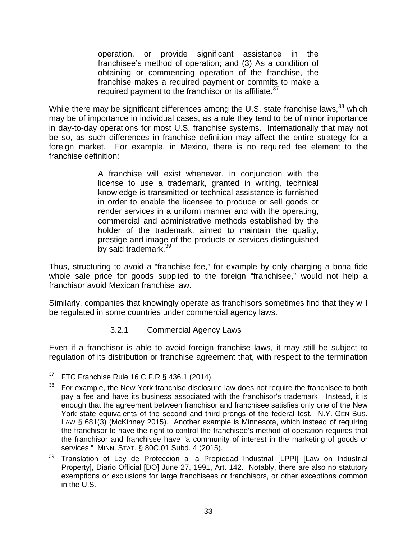operation, or provide significant assistance in the franchisee's method of operation; and (3) As a condition of obtaining or commencing operation of the franchise, the franchise makes a required payment or commits to make a required payment to the franchisor or its affiliate.<sup>37</sup>

While there may be significant differences among the U.S. state franchise laws,<sup>38</sup> which may be of importance in individual cases, as a rule they tend to be of minor importance in day-to-day operations for most U.S. franchise systems. Internationally that may not be so, as such differences in franchise definition may affect the entire strategy for a foreign market. For example, in Mexico, there is no required fee element to the franchise definition:

> A franchise will exist whenever, in conjunction with the license to use a trademark, granted in writing, technical knowledge is transmitted or technical assistance is furnished in order to enable the licensee to produce or sell goods or render services in a uniform manner and with the operating, commercial and administrative methods established by the holder of the trademark, aimed to maintain the quality, prestige and image of the products or services distinguished by said trademark.<sup>39</sup>

Thus, structuring to avoid a "franchise fee," for example by only charging a bona fide whole sale price for goods supplied to the foreign "franchisee," would not help a franchisor avoid Mexican franchise law.

Similarly, companies that knowingly operate as franchisors sometimes find that they will be regulated in some countries under commercial agency laws.

#### 3.2.1 Commercial Agency Laws

Even if a franchisor is able to avoid foreign franchise laws, it may still be subject to regulation of its distribution or franchise agreement that, with respect to the termination

  $37$  FTC Franchise Rule 16 C.F.R § 436.1 (2014).

 $38$  For example, the New York franchise disclosure law does not require the franchisee to both pay a fee and have its business associated with the franchisor's trademark. Instead, it is enough that the agreement between franchisor and franchisee satisfies only one of the New York state equivalents of the second and third prongs of the federal test. N.Y. GEN BUS. LAW § 681(3) (McKinney 2015). Another example is Minnesota, which instead of requiring the franchisor to have the right to control the franchisee's method of operation requires that the franchisor and franchisee have "a community of interest in the marketing of goods or services." MINN. STAT. § 80C.01 Subd. 4 (2015).

<sup>39</sup> Translation of Ley de Proteccion a la Propiedad Industrial [LPPI] [Law on Industrial Property], Diario Official [DO] June 27, 1991, Art. 142. Notably, there are also no statutory exemptions or exclusions for large franchisees or franchisors, or other exceptions common in the U.S.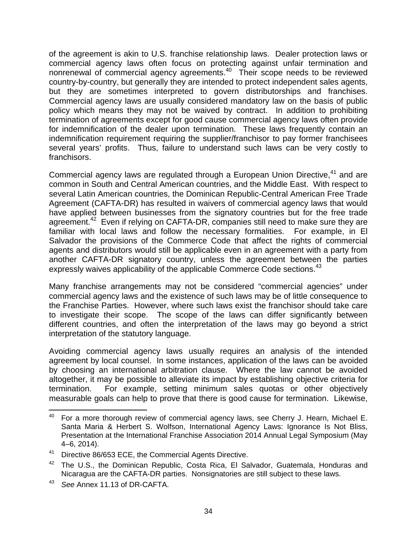of the agreement is akin to U.S. franchise relationship laws. Dealer protection laws or commercial agency laws often focus on protecting against unfair termination and nonrenewal of commercial agency agreements.40 Their scope needs to be reviewed country-by-country, but generally they are intended to protect independent sales agents, but they are sometimes interpreted to govern distributorships and franchises. Commercial agency laws are usually considered mandatory law on the basis of public policy which means they may not be waived by contract. In addition to prohibiting termination of agreements except for good cause commercial agency laws often provide for indemnification of the dealer upon termination. These laws frequently contain an indemnification requirement requiring the supplier/franchisor to pay former franchisees several years' profits. Thus, failure to understand such laws can be very costly to franchisors.

Commercial agency laws are regulated through a European Union Directive,<sup>41</sup> and are common in South and Central American countries, and the Middle East. With respect to several Latin American countries, the Dominican Republic-Central American Free Trade Agreement (CAFTA-DR) has resulted in waivers of commercial agency laws that would have applied between businesses from the signatory countries but for the free trade agreement.<sup>42</sup> Even if relying on CAFTA-DR, companies still need to make sure they are familiar with local laws and follow the necessary formalities. For example, in El Salvador the provisions of the Commerce Code that affect the rights of commercial agents and distributors would still be applicable even in an agreement with a party from another CAFTA-DR signatory country, unless the agreement between the parties expressly waives applicability of the applicable Commerce Code sections.<sup>43</sup>

Many franchise arrangements may not be considered "commercial agencies" under commercial agency laws and the existence of such laws may be of little consequence to the Franchise Parties. However, where such laws exist the franchisor should take care to investigate their scope. The scope of the laws can differ significantly between different countries, and often the interpretation of the laws may go beyond a strict interpretation of the statutory language.

Avoiding commercial agency laws usually requires an analysis of the intended agreement by local counsel. In some instances, application of the laws can be avoided by choosing an international arbitration clause. Where the law cannot be avoided altogether, it may be possible to alleviate its impact by establishing objective criteria for termination. For example, setting minimum sales quotas or other objectively measurable goals can help to prove that there is good cause for termination. Likewise,

  $40$  For a more thorough review of commercial agency laws, see Cherry J. Hearn, Michael E. Santa Maria & Herbert S. Wolfson, International Agency Laws: Ignorance Is Not Bliss, Presentation at the International Franchise Association 2014 Annual Legal Symposium (May 4–6, 2014).

<sup>41</sup> Directive 86/653 ECE, the Commercial Agents Directive.

<sup>&</sup>lt;sup>42</sup> The U.S., the Dominican Republic, Costa Rica, El Salvador, Guatemala, Honduras and Nicaragua are the CAFTA-DR parties. Nonsignatories are still subject to these laws.

<sup>43</sup> *See* Annex 11.13 of DR-CAFTA.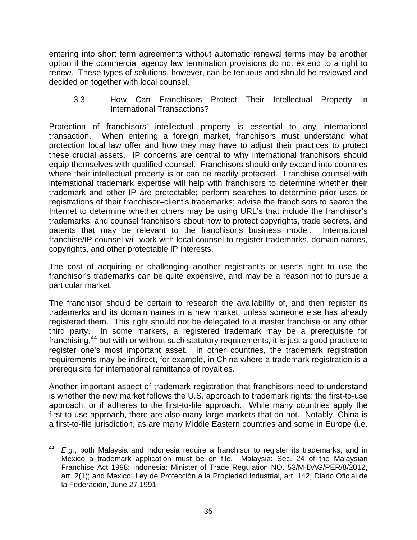entering into short term agreements without automatic renewal terms may be another option if the commercial agency law termination provisions do not extend to a right to renew. These types of solutions, however, can be tenuous and should be reviewed and decided on together with local counsel.

3.3 How Can Franchisors Protect Their Intellectual Property In International Transactions?

Protection of franchisors' intellectual property is essential to any international transaction. When entering a foreign market, franchisors must understand what protection local law offer and how they may have to adjust their practices to protect these crucial assets. IP concerns are central to why international franchisors should equip themselves with qualified counsel. Franchisors should only expand into countries where their intellectual property is or can be readily protected. Franchise counsel with international trademark expertise will help with franchisors to determine whether their trademark and other IP are protectable; perform searches to determine prior uses or registrations of their franchisor–client's trademarks; advise the franchisors to search the Internet to determine whether others may be using URL's that include the franchisor's trademarks; and counsel franchisors about how to protect copyrights, trade secrets, and patents that may be relevant to the franchisor's business model. International franchise/IP counsel will work with local counsel to register trademarks, domain names, copyrights, and other protectable IP interests.

The cost of acquiring or challenging another registrant's or user's right to use the franchisor's trademarks can be quite expensive, and may be a reason not to pursue a particular market.

The franchisor should be certain to research the availability of, and then register its trademarks and its domain names in a new market, unless someone else has already registered them. This right should not be delegated to a master franchise or any other third party. In some markets, a registered trademark may be a prerequisite for franchising,<sup>44</sup> but with or without such statutory requirements, it is just a good practice to register one's most important asset. In other countries, the trademark registration requirements may be indirect, for example, in China where a trademark registration is a prerequisite for international remittance of royalties.

Another important aspect of trademark registration that franchisors need to understand is whether the new market follows the U.S. approach to trademark rights: the first-to-use approach, or if adheres to the first-to-file approach. While many countries apply the first-to-use approach, there are also many large markets that do not. Notably, China is a first-to-file jurisdiction, as are many Middle Eastern countries and some in Europe (i.e.

 <sup>44</sup> *E.g.*, both Malaysia and Indonesia require a franchisor to register its trademarks, and in Mexico a trademark application must be on file. Malaysia: Sec. 24 of the Malaysian Franchise Act 1998; Indonesia: Minister of Trade Regulation NO. 53/M-DAG/PER/8/2012, art. 2(1); and Mexico: Ley de Protección a la Propiedad Industrial, art. 142, Diario Oficial de la Federación, June 27 1991.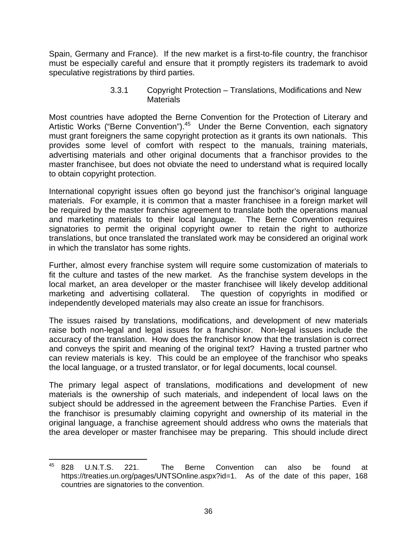Spain, Germany and France). If the new market is a first-to-file country, the franchisor must be especially careful and ensure that it promptly registers its trademark to avoid speculative registrations by third parties.

> 3.3.1 Copyright Protection – Translations, Modifications and New **Materials**

Most countries have adopted the Berne Convention for the Protection of Literary and Artistic Works ("Berne Convention").<sup>45</sup> Under the Berne Convention, each signatory must grant foreigners the same copyright protection as it grants its own nationals. This provides some level of comfort with respect to the manuals, training materials, advertising materials and other original documents that a franchisor provides to the master franchisee, but does not obviate the need to understand what is required locally to obtain copyright protection.

International copyright issues often go beyond just the franchisor's original language materials. For example, it is common that a master franchisee in a foreign market will be required by the master franchise agreement to translate both the operations manual and marketing materials to their local language. The Berne Convention requires signatories to permit the original copyright owner to retain the right to authorize translations, but once translated the translated work may be considered an original work in which the translator has some rights.

Further, almost every franchise system will require some customization of materials to fit the culture and tastes of the new market. As the franchise system develops in the local market, an area developer or the master franchisee will likely develop additional marketing and advertising collateral. The question of copyrights in modified or independently developed materials may also create an issue for franchisors.

The issues raised by translations, modifications, and development of new materials raise both non-legal and legal issues for a franchisor. Non-legal issues include the accuracy of the translation. How does the franchisor know that the translation is correct and conveys the spirit and meaning of the original text? Having a trusted partner who can review materials is key. This could be an employee of the franchisor who speaks the local language, or a trusted translator, or for legal documents, local counsel.

The primary legal aspect of translations, modifications and development of new materials is the ownership of such materials, and independent of local laws on the subject should be addressed in the agreement between the Franchise Parties. Even if the franchisor is presumably claiming copyright and ownership of its material in the original language, a franchise agreement should address who owns the materials that the area developer or master franchisee may be preparing. This should include direct

 45 828 U.N.T.S. 221. The Berne Convention can also be found at https://treaties.un.org/pages/UNTSOnline.aspx?id=1. As of the date of this paper, 168 countries are signatories to the convention.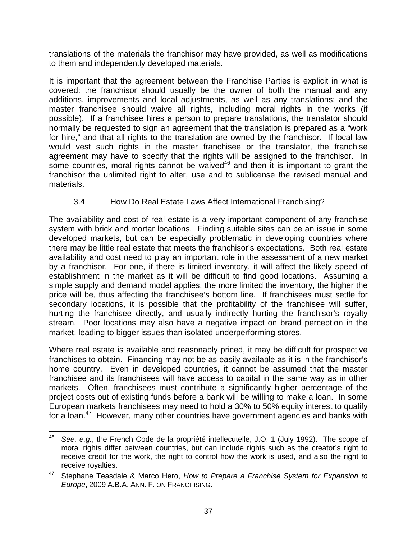translations of the materials the franchisor may have provided, as well as modifications to them and independently developed materials.

It is important that the agreement between the Franchise Parties is explicit in what is covered: the franchisor should usually be the owner of both the manual and any additions, improvements and local adjustments, as well as any translations; and the master franchisee should waive all rights, including moral rights in the works (if possible). If a franchisee hires a person to prepare translations, the translator should normally be requested to sign an agreement that the translation is prepared as a "work for hire," and that all rights to the translation are owned by the franchisor. If local law would vest such rights in the master franchisee or the translator, the franchise agreement may have to specify that the rights will be assigned to the franchisor. In some countries, moral rights cannot be waived<sup>46</sup> and then it is important to grant the franchisor the unlimited right to alter, use and to sublicense the revised manual and materials.

# 3.4 How Do Real Estate Laws Affect International Franchising?

The availability and cost of real estate is a very important component of any franchise system with brick and mortar locations. Finding suitable sites can be an issue in some developed markets, but can be especially problematic in developing countries where there may be little real estate that meets the franchisor's expectations. Both real estate availability and cost need to play an important role in the assessment of a new market by a franchisor. For one, if there is limited inventory, it will affect the likely speed of establishment in the market as it will be difficult to find good locations. Assuming a simple supply and demand model applies, the more limited the inventory, the higher the price will be, thus affecting the franchisee's bottom line. If franchisees must settle for secondary locations, it is possible that the profitability of the franchisee will suffer, hurting the franchisee directly, and usually indirectly hurting the franchisor's royalty stream. Poor locations may also have a negative impact on brand perception in the market, leading to bigger issues than isolated underperforming stores.

Where real estate is available and reasonably priced, it may be difficult for prospective franchises to obtain. Financing may not be as easily available as it is in the franchisor's home country. Even in developed countries, it cannot be assumed that the master franchisee and its franchisees will have access to capital in the same way as in other markets. Often, franchisees must contribute a significantly higher percentage of the project costs out of existing funds before a bank will be willing to make a loan. In some European markets franchisees may need to hold a 30% to 50% equity interest to qualify for a loan.47 However, many other countries have government agencies and banks with

 <sup>46</sup> *See, e.g.*, the French Code de la propriété intellecutelle, J.O. 1 (July 1992). The scope of moral rights differ between countries, but can include rights such as the creator's right to receive credit for the work, the right to control how the work is used, and also the right to receive royalties.

<sup>47</sup> Stephane Teasdale & Marco Hero, *How to Prepare a Franchise System for Expansion to Europe*, 2009 A.B.A. ANN. F. ON FRANCHISING.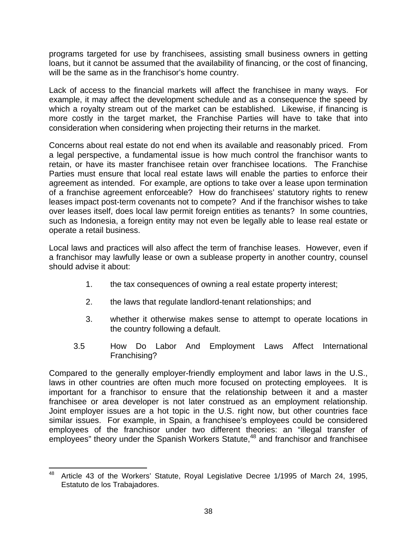programs targeted for use by franchisees, assisting small business owners in getting loans, but it cannot be assumed that the availability of financing, or the cost of financing, will be the same as in the franchisor's home country.

Lack of access to the financial markets will affect the franchisee in many ways. For example, it may affect the development schedule and as a consequence the speed by which a royalty stream out of the market can be established. Likewise, if financing is more costly in the target market, the Franchise Parties will have to take that into consideration when considering when projecting their returns in the market.

Concerns about real estate do not end when its available and reasonably priced. From a legal perspective, a fundamental issue is how much control the franchisor wants to retain, or have its master franchisee retain over franchisee locations. The Franchise Parties must ensure that local real estate laws will enable the parties to enforce their agreement as intended. For example, are options to take over a lease upon termination of a franchise agreement enforceable? How do franchisees' statutory rights to renew leases impact post-term covenants not to compete? And if the franchisor wishes to take over leases itself, does local law permit foreign entities as tenants? In some countries, such as Indonesia, a foreign entity may not even be legally able to lease real estate or operate a retail business.

Local laws and practices will also affect the term of franchise leases. However, even if a franchisor may lawfully lease or own a sublease property in another country, counsel should advise it about:

- 1. the tax consequences of owning a real estate property interest;
- 2. the laws that regulate landlord-tenant relationships; and
- 3. whether it otherwise makes sense to attempt to operate locations in the country following a default.
- 3.5 How Do Labor And Employment Laws Affect International Franchising?

Compared to the generally employer-friendly employment and labor laws in the U.S., laws in other countries are often much more focused on protecting employees. It is important for a franchisor to ensure that the relationship between it and a master franchisee or area developer is not later construed as an employment relationship. Joint employer issues are a hot topic in the U.S. right now, but other countries face similar issues. For example, in Spain, a franchisee's employees could be considered employees of the franchisor under two different theories: an "illegal transfer of employees" theory under the Spanish Workers Statute,<sup>48</sup> and franchisor and franchisee

 <sup>48</sup> Article 43 of the Workers' Statute, Royal Legislative Decree 1/1995 of March 24, 1995, Estatuto de los Trabajadores.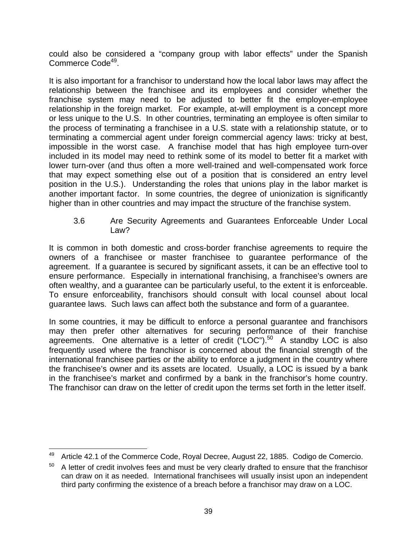could also be considered a "company group with labor effects" under the Spanish Commerce Code<sup>49</sup>.

It is also important for a franchisor to understand how the local labor laws may affect the relationship between the franchisee and its employees and consider whether the franchise system may need to be adjusted to better fit the employer-employee relationship in the foreign market. For example, at-will employment is a concept more or less unique to the U.S. In other countries, terminating an employee is often similar to the process of terminating a franchisee in a U.S. state with a relationship statute, or to terminating a commercial agent under foreign commercial agency laws: tricky at best, impossible in the worst case. A franchise model that has high employee turn-over included in its model may need to rethink some of its model to better fit a market with lower turn-over (and thus often a more well-trained and well-compensated work force that may expect something else out of a position that is considered an entry level position in the U.S.). Understanding the roles that unions play in the labor market is another important factor. In some countries, the degree of unionization is significantly higher than in other countries and may impact the structure of the franchise system.

3.6 Are Security Agreements and Guarantees Enforceable Under Local Law?

It is common in both domestic and cross-border franchise agreements to require the owners of a franchisee or master franchisee to guarantee performance of the agreement. If a guarantee is secured by significant assets, it can be an effective tool to ensure performance. Especially in international franchising, a franchisee's owners are often wealthy, and a guarantee can be particularly useful, to the extent it is enforceable. To ensure enforceability, franchisors should consult with local counsel about local guarantee laws. Such laws can affect both the substance and form of a guarantee.

In some countries, it may be difficult to enforce a personal guarantee and franchisors may then prefer other alternatives for securing performance of their franchise agreements. One alternative is a letter of credit  $("LOC")<sup>50</sup>$  A standby LOC is also frequently used where the franchisor is concerned about the financial strength of the international franchisee parties or the ability to enforce a judgment in the country where the franchisee's owner and its assets are located. Usually, a LOC is issued by a bank in the franchisee's market and confirmed by a bank in the franchisor's home country. The franchisor can draw on the letter of credit upon the terms set forth in the letter itself.

 Article 42.1 of the Commerce Code, Royal Decree, August 22, 1885. Codigo de Comercio.

 $50$  A letter of credit involves fees and must be very clearly drafted to ensure that the franchisor can draw on it as needed. International franchisees will usually insist upon an independent third party confirming the existence of a breach before a franchisor may draw on a LOC.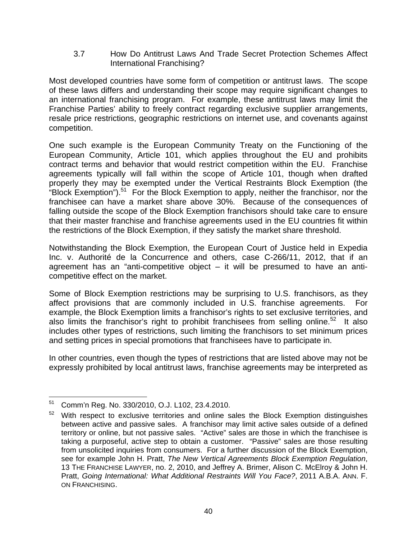3.7 How Do Antitrust Laws And Trade Secret Protection Schemes Affect International Franchising?

Most developed countries have some form of competition or antitrust laws. The scope of these laws differs and understanding their scope may require significant changes to an international franchising program. For example, these antitrust laws may limit the Franchise Parties' ability to freely contract regarding exclusive supplier arrangements, resale price restrictions, geographic restrictions on internet use, and covenants against competition.

One such example is the European Community Treaty on the Functioning of the European Community, Article 101, which applies throughout the EU and prohibits contract terms and behavior that would restrict competition within the EU. Franchise agreements typically will fall within the scope of Article 101, though when drafted properly they may be exempted under the Vertical Restraints Block Exemption (the "Block Exemption").<sup>51</sup> For the Block Exemption to apply, neither the franchisor, nor the franchisee can have a market share above 30%. Because of the consequences of falling outside the scope of the Block Exemption franchisors should take care to ensure that their master franchise and franchise agreements used in the EU countries fit within the restrictions of the Block Exemption, if they satisfy the market share threshold.

Notwithstanding the Block Exemption, the European Court of Justice held in Expedia Inc. v. Authorité de la Concurrence and others, case C-266/11, 2012, that if an agreement has an "anti-competitive object – it will be presumed to have an anticompetitive effect on the market.

Some of Block Exemption restrictions may be surprising to U.S. franchisors, as they affect provisions that are commonly included in U.S. franchise agreements. For example, the Block Exemption limits a franchisor's rights to set exclusive territories, and also limits the franchisor's right to prohibit franchisees from selling online.<sup>52</sup> It also includes other types of restrictions, such limiting the franchisors to set minimum prices and setting prices in special promotions that franchisees have to participate in.

In other countries, even though the types of restrictions that are listed above may not be expressly prohibited by local antitrust laws, franchise agreements may be interpreted as

 51 Comm'n Reg. No. 330/2010, O.J. L102, 23.4.2010.

 $52$  With respect to exclusive territories and online sales the Block Exemption distinguishes between active and passive sales. A franchisor may limit active sales outside of a defined territory or online, but not passive sales. "Active" sales are those in which the franchisee is taking a purposeful, active step to obtain a customer. "Passive" sales are those resulting from unsolicited inquiries from consumers. For a further discussion of the Block Exemption, see for example John H. Pratt, *The New Vertical Agreements Block Exemption Regulation*, 13 THE FRANCHISE LAWYER, no. 2, 2010, and Jeffrey A. Brimer, Alison C. McElroy & John H. Pratt, *Going International: What Additional Restraints Will You Face?*, 2011 A.B.A. ANN. F. ON FRANCHISING.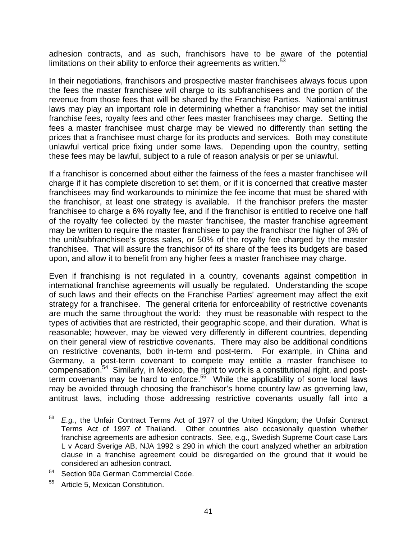adhesion contracts, and as such, franchisors have to be aware of the potential limitations on their ability to enforce their agreements as written. $53$ 

In their negotiations, franchisors and prospective master franchisees always focus upon the fees the master franchisee will charge to its subfranchisees and the portion of the revenue from those fees that will be shared by the Franchise Parties. National antitrust laws may play an important role in determining whether a franchisor may set the initial franchise fees, royalty fees and other fees master franchisees may charge. Setting the fees a master franchisee must charge may be viewed no differently than setting the prices that a franchisee must charge for its products and services. Both may constitute unlawful vertical price fixing under some laws. Depending upon the country, setting these fees may be lawful, subject to a rule of reason analysis or per se unlawful.

If a franchisor is concerned about either the fairness of the fees a master franchisee will charge if it has complete discretion to set them, or if it is concerned that creative master franchisees may find workarounds to minimize the fee income that must be shared with the franchisor, at least one strategy is available. If the franchisor prefers the master franchisee to charge a 6% royalty fee, and if the franchisor is entitled to receive one half of the royalty fee collected by the master franchisee, the master franchise agreement may be written to require the master franchisee to pay the franchisor the higher of 3% of the unit/subfranchisee's gross sales, or 50% of the royalty fee charged by the master franchisee. That will assure the franchisor of its share of the fees its budgets are based upon, and allow it to benefit from any higher fees a master franchisee may charge.

Even if franchising is not regulated in a country, covenants against competition in international franchise agreements will usually be regulated. Understanding the scope of such laws and their effects on the Franchise Parties' agreement may affect the exit strategy for a franchisee. The general criteria for enforceability of restrictive covenants are much the same throughout the world: they must be reasonable with respect to the types of activities that are restricted, their geographic scope, and their duration. What is reasonable; however, may be viewed very differently in different countries, depending on their general view of restrictive covenants. There may also be additional conditions on restrictive covenants, both in-term and post-term. For example, in China and Germany, a post-term covenant to compete may entitle a master franchisee to compensation.<sup>54</sup> Similarly, in Mexico, the right to work is a constitutional right, and postterm covenants may be hard to enforce.<sup>55</sup> While the applicability of some local laws may be avoided through choosing the franchisor's home country law as governing law, antitrust laws, including those addressing restrictive covenants usually fall into a

<sup>53</sup> *E.g.*, the Unfair Contract Terms Act of 1977 of the United Kingdom; the Unfair Contract Terms Act of 1997 of Thailand. Other countries also occasionally question whether franchise agreements are adhesion contracts. See, e.g., Swedish Supreme Court case Lars L v Acard Sverige AB, NJA 1992 s 290 in which the court analyzed whether an arbitration clause in a franchise agreement could be disregarded on the ground that it would be considered an adhesion contract.

<sup>54</sup> Section 90a German Commercial Code.

Article 5, Mexican Constitution.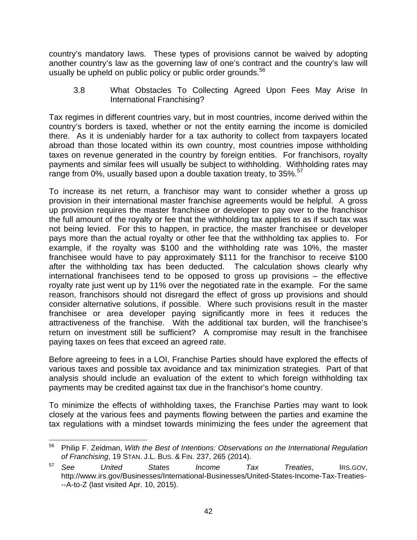country's mandatory laws. These types of provisions cannot be waived by adopting another country's law as the governing law of one's contract and the country's law will usually be upheld on public policy or public order grounds.<sup>56</sup>

3.8 What Obstacles To Collecting Agreed Upon Fees May Arise In International Franchising?

Tax regimes in different countries vary, but in most countries, income derived within the country's borders is taxed, whether or not the entity earning the income is domiciled there. As it is undeniably harder for a tax authority to collect from taxpayers located abroad than those located within its own country, most countries impose withholding taxes on revenue generated in the country by foreign entities. For franchisors, royalty payments and similar fees will usually be subject to withholding. Withholding rates may range from 0%, usually based upon a double taxation treaty, to 35%.<sup>57</sup>

To increase its net return, a franchisor may want to consider whether a gross up provision in their international master franchise agreements would be helpful. A gross up provision requires the master franchisee or developer to pay over to the franchisor the full amount of the royalty or fee that the withholding tax applies to as if such tax was not being levied. For this to happen, in practice, the master franchisee or developer pays more than the actual royalty or other fee that the withholding tax applies to. For example, if the royalty was \$100 and the withholding rate was 10%, the master franchisee would have to pay approximately \$111 for the franchisor to receive \$100 after the withholding tax has been deducted. The calculation shows clearly why international franchisees tend to be opposed to gross up provisions – the effective royalty rate just went up by 11% over the negotiated rate in the example. For the same reason, franchisors should not disregard the effect of gross up provisions and should consider alternative solutions, if possible. Where such provisions result in the master franchisee or area developer paying significantly more in fees it reduces the attractiveness of the franchise. With the additional tax burden, will the franchisee's return on investment still be sufficient? A compromise may result in the franchisee paying taxes on fees that exceed an agreed rate.

Before agreeing to fees in a LOI, Franchise Parties should have explored the effects of various taxes and possible tax avoidance and tax minimization strategies. Part of that analysis should include an evaluation of the extent to which foreign withholding tax payments may be credited against tax due in the franchisor's home country.

To minimize the effects of withholding taxes, the Franchise Parties may want to look closely at the various fees and payments flowing between the parties and examine the tax regulations with a mindset towards minimizing the fees under the agreement that

 56 Philip F. Zeidman, *With the Best of Intentions: Observations on the International Regulation of Franchising*, 19 STAN. J.L. BUS. & FIN. 237, 265 (2014).

<sup>57</sup> *See United States Income Tax Treaties*, IRS.GOV, http://www.irs.gov/Businesses/International-Businesses/United-States-Income-Tax-Treaties- --A-to-Z (last visited Apr. 10, 2015).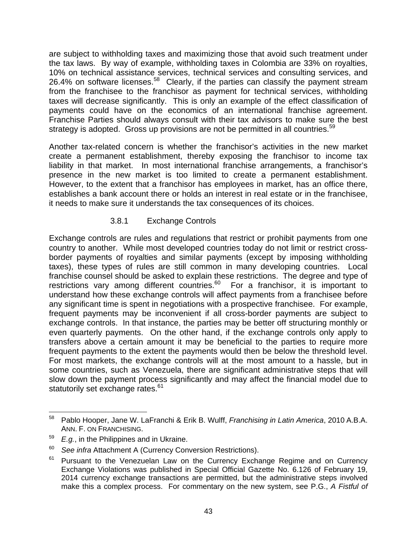are subject to withholding taxes and maximizing those that avoid such treatment under the tax laws. By way of example, withholding taxes in Colombia are 33% on royalties, 10% on technical assistance services, technical services and consulting services, and 26.4% on software licenses.<sup>58</sup> Clearly, if the parties can classify the payment stream from the franchisee to the franchisor as payment for technical services, withholding taxes will decrease significantly. This is only an example of the effect classification of payments could have on the economics of an international franchise agreement. Franchise Parties should always consult with their tax advisors to make sure the best strategy is adopted. Gross up provisions are not be permitted in all countries.<sup>59</sup>

Another tax-related concern is whether the franchisor's activities in the new market create a permanent establishment, thereby exposing the franchisor to income tax liability in that market. In most international franchise arrangements, a franchisor's presence in the new market is too limited to create a permanent establishment. However, to the extent that a franchisor has employees in market, has an office there, establishes a bank account there or holds an interest in real estate or in the franchisee, it needs to make sure it understands the tax consequences of its choices.

#### 3.8.1 Exchange Controls

Exchange controls are rules and regulations that restrict or prohibit payments from one country to another. While most developed countries today do not limit or restrict crossborder payments of royalties and similar payments (except by imposing withholding taxes), these types of rules are still common in many developing countries. Local franchise counsel should be asked to explain these restrictions. The degree and type of restrictions vary among different countries.<sup>60</sup> For a franchisor, it is important to understand how these exchange controls will affect payments from a franchisee before any significant time is spent in negotiations with a prospective franchisee. For example, frequent payments may be inconvenient if all cross-border payments are subject to exchange controls. In that instance, the parties may be better off structuring monthly or even quarterly payments. On the other hand, if the exchange controls only apply to transfers above a certain amount it may be beneficial to the parties to require more frequent payments to the extent the payments would then be below the threshold level. For most markets, the exchange controls will at the most amount to a hassle, but in some countries, such as Venezuela, there are significant administrative steps that will slow down the payment process significantly and may affect the financial model due to statutorily set exchange rates.<sup>61</sup>

 58 Pablo Hooper, Jane W. LaFranchi & Erik B. Wulff, *Franchising in Latin America*, 2010 A.B.A. ANN. F. ON FRANCHISING.<br><sup>59</sup> *E.g.*, in the Philippines and in Ukraine.

<sup>60</sup> *See infra* Attachment A (Currency Conversion Restrictions).

 $61$  Pursuant to the Venezuelan Law on the Currency Exchange Regime and on Currency Exchange Violations was published in Special Official Gazette No. 6.126 of February 19, 2014 currency exchange transactions are permitted, but the administrative steps involved make this a complex process. For commentary on the new system, see P.G., *A Fistful of*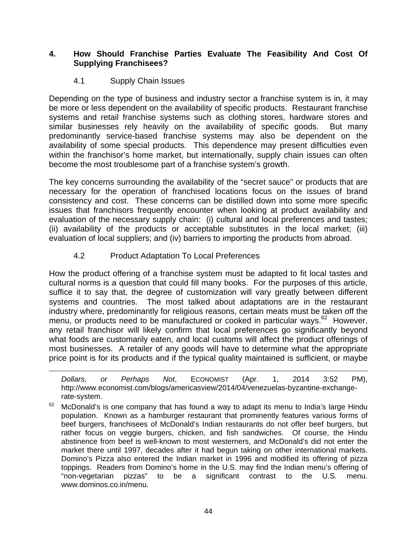#### **4. How Should Franchise Parties Evaluate The Feasibility And Cost Of Supplying Franchisees?**

## 4.1 Supply Chain Issues

Depending on the type of business and industry sector a franchise system is in, it may be more or less dependent on the availability of specific products. Restaurant franchise systems and retail franchise systems such as clothing stores, hardware stores and similar businesses rely heavily on the availability of specific goods. But many predominantly service-based franchise systems may also be dependent on the availability of some special products. This dependence may present difficulties even within the franchisor's home market, but internationally, supply chain issues can often become the most troublesome part of a franchise system's growth.

The key concerns surrounding the availability of the "secret sauce" or products that are necessary for the operation of franchised locations focus on the issues of brand consistency and cost. These concerns can be distilled down into some more specific issues that franchisors frequently encounter when looking at product availability and evaluation of the necessary supply chain: (i) cultural and local preferences and tastes; (ii) availability of the products or acceptable substitutes in the local market; (iii) evaluation of local suppliers; and (iv) barriers to importing the products from abroad.

# 4.2 Product Adaptation To Local Preferences

How the product offering of a franchise system must be adapted to fit local tastes and cultural norms is a question that could fill many books. For the purposes of this article, suffice it to say that, the degree of customization will vary greatly between different systems and countries. The most talked about adaptations are in the restaurant industry where, predominantly for religious reasons, certain meats must be taken off the menu, or products need to be manufactured or cooked in particular ways.<sup>62</sup> However, any retail franchisor will likely confirm that local preferences go significantly beyond what foods are customarily eaten, and local customs will affect the product offerings of most businesses. A retailer of any goods will have to determine what the appropriate price point is for its products and if the typical quality maintained is sufficient, or maybe

<u> 1989 - Johann Stein, marwolaethau a gweledydd a ganlad y ganlad y ganlad y ganlad y ganlad y ganlad y ganlad</u>

*Dollars, or Perhaps Not*, ECONOMIST (Apr. 1, 2014 3:52 PM), http://www.economist.com/blogs/americasview/2014/04/venezuelas-byzantine-exchangerate-system.

 $62$  McDonald's is one company that has found a way to adapt its menu to India's large Hindu population. Known as a hamburger restaurant that prominently features various forms of beef burgers, franchisees of McDonald's Indian restaurants do not offer beef burgers, but rather focus on veggie burgers, chicken, and fish sandwiches. Of course, the Hindu abstinence from beef is well-known to most westerners, and McDonald's did not enter the market there until 1997, decades after it had begun taking on other international markets. Domino's Pizza also entered the Indian market in 1996 and modified its offering of pizza toppings. Readers from Domino's home in the U.S. may find the Indian menu's offering of "non-vegetarian pizzas" to be a significant contrast to the U.S. menu. www.dominos.co.in/menu.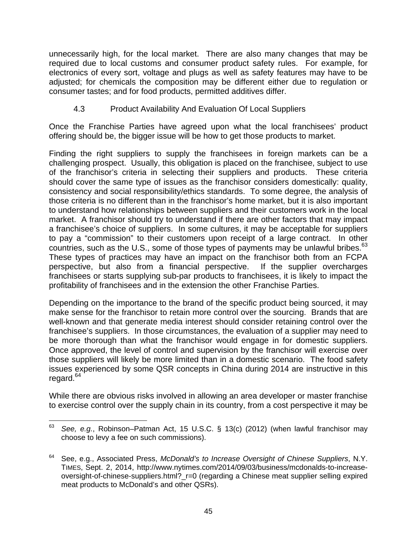unnecessarily high, for the local market. There are also many changes that may be required due to local customs and consumer product safety rules. For example, for electronics of every sort, voltage and plugs as well as safety features may have to be adjusted; for chemicals the composition may be different either due to regulation or consumer tastes; and for food products, permitted additives differ.

4.3 Product Availability And Evaluation Of Local Suppliers

Once the Franchise Parties have agreed upon what the local franchisees' product offering should be, the bigger issue will be how to get those products to market.

Finding the right suppliers to supply the franchisees in foreign markets can be a challenging prospect. Usually, this obligation is placed on the franchisee, subject to use of the franchisor's criteria in selecting their suppliers and products. These criteria should cover the same type of issues as the franchisor considers domestically: quality, consistency and social responsibility/ethics standards. To some degree, the analysis of those criteria is no different than in the franchisor's home market, but it is also important to understand how relationships between suppliers and their customers work in the local market. A franchisor should try to understand if there are other factors that may impact a franchisee's choice of suppliers. In some cultures, it may be acceptable for suppliers to pay a "commission" to their customers upon receipt of a large contract. In other countries, such as the U.S., some of those types of payments may be unlawful bribes.<sup>63</sup> These types of practices may have an impact on the franchisor both from an FCPA perspective, but also from a financial perspective. If the supplier overcharges franchisees or starts supplying sub-par products to franchisees, it is likely to impact the profitability of franchisees and in the extension the other Franchise Parties.

Depending on the importance to the brand of the specific product being sourced, it may make sense for the franchisor to retain more control over the sourcing. Brands that are well-known and that generate media interest should consider retaining control over the franchisee's suppliers. In those circumstances, the evaluation of a supplier may need to be more thorough than what the franchisor would engage in for domestic suppliers. Once approved, the level of control and supervision by the franchisor will exercise over those suppliers will likely be more limited than in a domestic scenario. The food safety issues experienced by some QSR concepts in China during 2014 are instructive in this regard. $64$ 

While there are obvious risks involved in allowing an area developer or master franchise to exercise control over the supply chain in its country, from a cost perspective it may be

 <sup>63</sup> *See, e.g.*, Robinson–Patman Act, 15 U.S.C. § 13(c) (2012) (when lawful franchisor may choose to levy a fee on such commissions).

<sup>64</sup> See, e.g., Associated Press, *McDonald's to Increase Oversight of Chinese Suppliers*, N.Y. TIMES, Sept. 2, 2014, http://www.nytimes.com/2014/09/03/business/mcdonalds-to-increaseoversight-of-chinese-suppliers.html?\_r=0 (regarding a Chinese meat supplier selling expired meat products to McDonald's and other QSRs).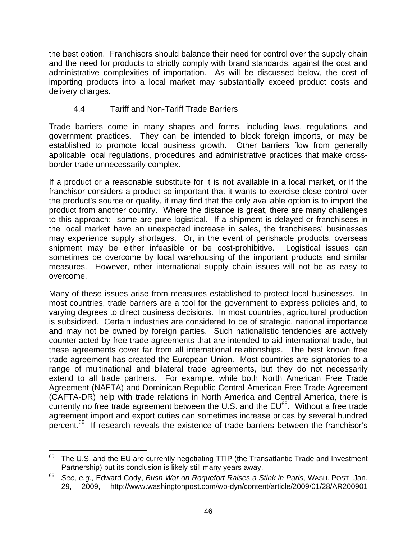the best option. Franchisors should balance their need for control over the supply chain and the need for products to strictly comply with brand standards, against the cost and administrative complexities of importation. As will be discussed below, the cost of importing products into a local market may substantially exceed product costs and delivery charges.

#### 4.4 Tariff and Non-Tariff Trade Barriers

Trade barriers come in many shapes and forms, including laws, regulations, and government practices. They can be intended to block foreign imports, or may be established to promote local business growth. Other barriers flow from generally applicable local regulations, procedures and administrative practices that make crossborder trade unnecessarily complex.

If a product or a reasonable substitute for it is not available in a local market, or if the franchisor considers a product so important that it wants to exercise close control over the product's source or quality, it may find that the only available option is to import the product from another country. Where the distance is great, there are many challenges to this approach: some are pure logistical. If a shipment is delayed or franchisees in the local market have an unexpected increase in sales, the franchisees' businesses may experience supply shortages. Or, in the event of perishable products, overseas shipment may be either infeasible or be cost-prohibitive. Logistical issues can sometimes be overcome by local warehousing of the important products and similar measures. However, other international supply chain issues will not be as easy to overcome.

Many of these issues arise from measures established to protect local businesses. In most countries, trade barriers are a tool for the government to express policies and, to varying degrees to direct business decisions. In most countries, agricultural production is subsidized. Certain industries are considered to be of strategic, national importance and may not be owned by foreign parties. Such nationalistic tendencies are actively counter-acted by free trade agreements that are intended to aid international trade, but these agreements cover far from all international relationships. The best known free trade agreement has created the European Union. Most countries are signatories to a range of multinational and bilateral trade agreements, but they do not necessarily extend to all trade partners. For example, while both North American Free Trade Agreement (NAFTA) and Dominican Republic-Central American Free Trade Agreement (CAFTA-DR) help with trade relations in North America and Central America, there is currently no free trade agreement between the U.S. and the  $EU^{65}$ . Without a free trade agreement import and export duties can sometimes increase prices by several hundred percent.66 If research reveals the existence of trade barriers between the franchisor's

  $65$  The U.S. and the EU are currently negotiating TTIP (the Transatlantic Trade and Investment Partnership) but its conclusion is likely still many years away.

<sup>66</sup> *See, e.g.*, Edward Cody, *Bush War on Roquefort Raises a Stink in Paris*, WASH. POST, Jan. 29, 2009, http://www.washingtonpost.com/wp-dyn/content/article/2009/01/28/AR200901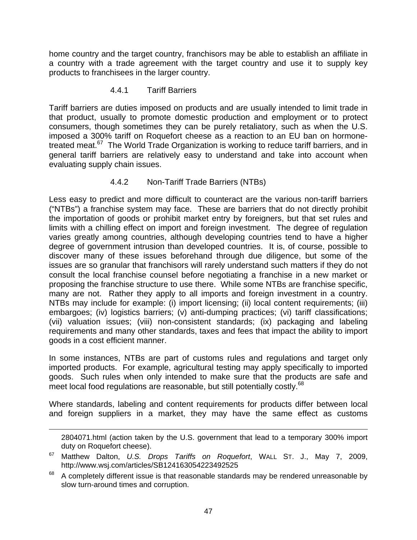home country and the target country, franchisors may be able to establish an affiliate in a country with a trade agreement with the target country and use it to supply key products to franchisees in the larger country.

#### 4.4.1 Tariff Barriers

Tariff barriers are duties imposed on products and are usually intended to limit trade in that product, usually to promote domestic production and employment or to protect consumers, though sometimes they can be purely retaliatory, such as when the U.S. imposed a 300% tariff on Roquefort cheese as a reaction to an EU ban on hormonetreated meat.<sup>67</sup> The World Trade Organization is working to reduce tariff barriers, and in general tariff barriers are relatively easy to understand and take into account when evaluating supply chain issues.

#### 4.4.2 Non-Tariff Trade Barriers (NTBs)

Less easy to predict and more difficult to counteract are the various non-tariff barriers ("NTBs") a franchise system may face. These are barriers that do not directly prohibit the importation of goods or prohibit market entry by foreigners, but that set rules and limits with a chilling effect on import and foreign investment. The degree of regulation varies greatly among countries, although developing countries tend to have a higher degree of government intrusion than developed countries. It is, of course, possible to discover many of these issues beforehand through due diligence, but some of the issues are so granular that franchisors will rarely understand such matters if they do not consult the local franchise counsel before negotiating a franchise in a new market or proposing the franchise structure to use there. While some NTBs are franchise specific, many are not. Rather they apply to all imports and foreign investment in a country. NTBs may include for example: (i) import licensing; (ii) local content requirements; (iii) embargoes; (iv) logistics barriers; (v) anti-dumping practices; (vi) tariff classifications; (vii) valuation issues; (viii) non-consistent standards; (ix) packaging and labeling requirements and many other standards, taxes and fees that impact the ability to import goods in a cost efficient manner.

In some instances, NTBs are part of customs rules and regulations and target only imported products. For example, agricultural testing may apply specifically to imported goods. Such rules when only intended to make sure that the products are safe and meet local food regulations are reasonable, but still potentially costly.<sup>68</sup>

Where standards, labeling and content requirements for products differ between local and foreign suppliers in a market, they may have the same effect as customs

<sup>&</sup>lt;u> 1989 - Johann Stein, marwolaethau a gweledydd a ganlad y ganlad y ganlad y ganlad y ganlad y ganlad y ganlad</u> 2804071.html (action taken by the U.S. government that lead to a temporary 300% import duty on Roquefort cheese).

<sup>67</sup> Matthew Dalton, *U.S. Drops Tariffs on Roquefort*, WALL ST. J., May 7, 2009, http://www.wsj.com/articles/SB124163054223492525

 $68$  A completely different issue is that reasonable standards may be rendered unreasonable by slow turn-around times and corruption.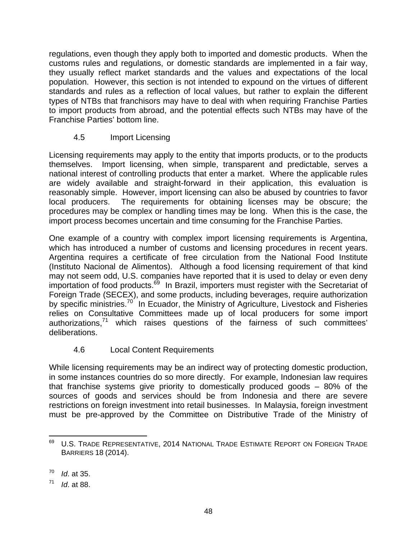regulations, even though they apply both to imported and domestic products. When the customs rules and regulations, or domestic standards are implemented in a fair way, they usually reflect market standards and the values and expectations of the local population. However, this section is not intended to expound on the virtues of different standards and rules as a reflection of local values, but rather to explain the different types of NTBs that franchisors may have to deal with when requiring Franchise Parties to import products from abroad, and the potential effects such NTBs may have of the Franchise Parties' bottom line.

# 4.5 Import Licensing

Licensing requirements may apply to the entity that imports products, or to the products themselves. Import licensing, when simple, transparent and predictable, serves a national interest of controlling products that enter a market. Where the applicable rules are widely available and straight-forward in their application, this evaluation is reasonably simple. However, import licensing can also be abused by countries to favor local producers. The requirements for obtaining licenses may be obscure; the procedures may be complex or handling times may be long. When this is the case, the import process becomes uncertain and time consuming for the Franchise Parties.

One example of a country with complex import licensing requirements is Argentina, which has introduced a number of customs and licensing procedures in recent years. Argentina requires a certificate of free circulation from the National Food Institute (Instituto Nacional de Alimentos). Although a food licensing requirement of that kind may not seem odd, U.S. companies have reported that it is used to delay or even deny importation of food products.<sup>69</sup> In Brazil, importers must register with the Secretariat of Foreign Trade (SECEX), and some products, including beverages, require authorization by specific ministries.<sup>70</sup> In Ecuador, the Ministry of Agriculture, Livestock and Fisheries relies on Consultative Committees made up of local producers for some import authorizations, $71$  which raises questions of the fairness of such committees' deliberations.

#### 4.6 Local Content Requirements

While licensing requirements may be an indirect way of protecting domestic production, in some instances countries do so more directly. For example, Indonesian law requires that franchise systems give priority to domestically produced goods – 80% of the sources of goods and services should be from Indonesia and there are severe restrictions on foreign investment into retail businesses. In Malaysia, foreign investment must be pre-approved by the Committee on Distributive Trade of the Ministry of

  $^{69}$  U.S. Trade Representative, 2014 National Trade Estimate Report on Foreign Trade BARRIERS 18 (2014).

<sup>70</sup> *Id*. at 35.

<sup>71</sup> *Id*. at 88.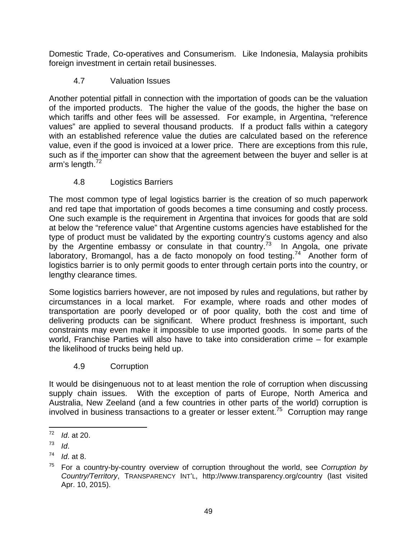Domestic Trade, Co-operatives and Consumerism. Like Indonesia, Malaysia prohibits foreign investment in certain retail businesses.

# 4.7 Valuation Issues

Another potential pitfall in connection with the importation of goods can be the valuation of the imported products. The higher the value of the goods, the higher the base on which tariffs and other fees will be assessed. For example, in Argentina, "reference values" are applied to several thousand products. If a product falls within a category with an established reference value the duties are calculated based on the reference value, even if the good is invoiced at a lower price. There are exceptions from this rule, such as if the importer can show that the agreement between the buyer and seller is at arm's length.<sup>72</sup>

# 4.8 Logistics Barriers

The most common type of legal logistics barrier is the creation of so much paperwork and red tape that importation of goods becomes a time consuming and costly process. One such example is the requirement in Argentina that invoices for goods that are sold at below the "reference value" that Argentine customs agencies have established for the type of product must be validated by the exporting country's customs agency and also by the Argentine embassy or consulate in that country.<sup>73</sup> In Angola, one private laboratory, Bromangol, has a de facto monopoly on food testing.<sup>74</sup> Another form of logistics barrier is to only permit goods to enter through certain ports into the country, or lengthy clearance times.

Some logistics barriers however, are not imposed by rules and regulations, but rather by circumstances in a local market. For example, where roads and other modes of transportation are poorly developed or of poor quality, both the cost and time of delivering products can be significant. Where product freshness is important, such constraints may even make it impossible to use imported goods. In some parts of the world, Franchise Parties will also have to take into consideration crime – for example the likelihood of trucks being held up.

# 4.9 Corruption

It would be disingenuous not to at least mention the role of corruption when discussing supply chain issues. With the exception of parts of Europe, North America and Australia, New Zeeland (and a few countries in other parts of the world) corruption is involved in business transactions to a greater or lesser extent.<sup>75</sup> Corruption may range

 <sup>72</sup> *Id*. at 20.

<sup>73</sup>*Id*. 74 *Id*. at 8.

<sup>75</sup> For a country-by-country overview of corruption throughout the world, see *Corruption by Country/Territory*, TRANSPARENCY INT'L, http://www.transparency.org/country (last visited Apr. 10, 2015).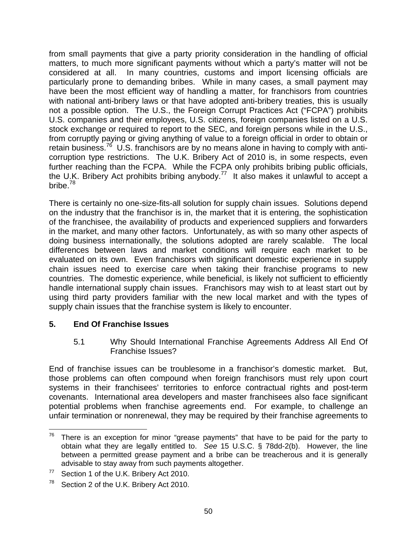from small payments that give a party priority consideration in the handling of official matters, to much more significant payments without which a party's matter will not be considered at all. In many countries, customs and import licensing officials are particularly prone to demanding bribes. While in many cases, a small payment may have been the most efficient way of handling a matter, for franchisors from countries with national anti-bribery laws or that have adopted anti-bribery treaties, this is usually not a possible option. The U.S., the Foreign Corrupt Practices Act ("FCPA") prohibits U.S. companies and their employees, U.S. citizens, foreign companies listed on a U.S. stock exchange or required to report to the SEC, and foreign persons while in the U.S., from corruptly paying or giving anything of value to a foreign official in order to obtain or retain business.<sup>76</sup> U.S. franchisors are by no means alone in having to comply with anticorruption type restrictions. The U.K. Bribery Act of 2010 is, in some respects, even further reaching than the FCPA. While the FCPA only prohibits bribing public officials, the U.K. Bribery Act prohibits bribing anybody.<sup>77</sup> It also makes it unlawful to accept a bribe.<sup>78</sup>

There is certainly no one-size-fits-all solution for supply chain issues. Solutions depend on the industry that the franchisor is in, the market that it is entering, the sophistication of the franchisee, the availability of products and experienced suppliers and forwarders in the market, and many other factors. Unfortunately, as with so many other aspects of doing business internationally, the solutions adopted are rarely scalable. The local differences between laws and market conditions will require each market to be evaluated on its own. Even franchisors with significant domestic experience in supply chain issues need to exercise care when taking their franchise programs to new countries. The domestic experience, while beneficial, is likely not sufficient to efficiently handle international supply chain issues. Franchisors may wish to at least start out by using third party providers familiar with the new local market and with the types of supply chain issues that the franchise system is likely to encounter.

#### **5. End Of Franchise Issues**

5.1 Why Should International Franchise Agreements Address All End Of Franchise Issues?

End of franchise issues can be troublesome in a franchisor's domestic market. But, those problems can often compound when foreign franchisors must rely upon court systems in their franchisees' territories to enforce contractual rights and post-term covenants. International area developers and master franchisees also face significant potential problems when franchise agreements end. For example, to challenge an unfair termination or nonrenewal, they may be required by their franchise agreements to

  $76$  There is an exception for minor "grease payments" that have to be paid for the party to obtain what they are legally entitled to. *See* 15 U.S.C. § 78dd-2(b). However, the line between a permitted grease payment and a bribe can be treacherous and it is generally advisable to stay away from such payments altogether.

<sup>&</sup>lt;sup>77</sup> Section 1 of the U.K. Bribery Act 2010.

<sup>&</sup>lt;sup>78</sup> Section 2 of the U.K. Bribery Act 2010.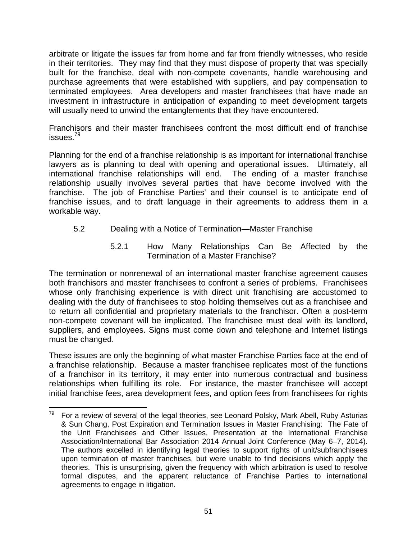arbitrate or litigate the issues far from home and far from friendly witnesses, who reside in their territories. They may find that they must dispose of property that was specially built for the franchise, deal with non-compete covenants, handle warehousing and purchase agreements that were established with suppliers, and pay compensation to terminated employees. Area developers and master franchisees that have made an investment in infrastructure in anticipation of expanding to meet development targets will usually need to unwind the entanglements that they have encountered.

Franchisors and their master franchisees confront the most difficult end of franchise issues.<sup>79</sup>

Planning for the end of a franchise relationship is as important for international franchise lawyers as is planning to deal with opening and operational issues. Ultimately, all international franchise relationships will end. The ending of a master franchise relationship usually involves several parties that have become involved with the franchise. The job of Franchise Parties' and their counsel is to anticipate end of franchise issues, and to draft language in their agreements to address them in a workable way.

#### 5.2 Dealing with a Notice of Termination—Master Franchise

5.2.1 How Many Relationships Can Be Affected by the Termination of a Master Franchise?

The termination or nonrenewal of an international master franchise agreement causes both franchisors and master franchisees to confront a series of problems. Franchisees whose only franchising experience is with direct unit franchising are accustomed to dealing with the duty of franchisees to stop holding themselves out as a franchisee and to return all confidential and proprietary materials to the franchisor. Often a post-term non-compete covenant will be implicated. The franchisee must deal with its landlord, suppliers, and employees. Signs must come down and telephone and Internet listings must be changed.

These issues are only the beginning of what master Franchise Parties face at the end of a franchise relationship. Because a master franchisee replicates most of the functions of a franchisor in its territory, it may enter into numerous contractual and business relationships when fulfilling its role. For instance, the master franchisee will accept initial franchise fees, area development fees, and option fees from franchisees for rights

  $79$  For a review of several of the legal theories, see Leonard Polsky, Mark Abell, Ruby Asturias & Sun Chang, Post Expiration and Termination Issues in Master Franchising: The Fate of the Unit Franchisees and Other Issues, Presentation at the International Franchise Association/International Bar Association 2014 Annual Joint Conference (May 6–7, 2014). The authors excelled in identifying legal theories to support rights of unit/subfranchisees upon termination of master franchises, but were unable to find decisions which apply the theories. This is unsurprising, given the frequency with which arbitration is used to resolve formal disputes, and the apparent reluctance of Franchise Parties to international agreements to engage in litigation.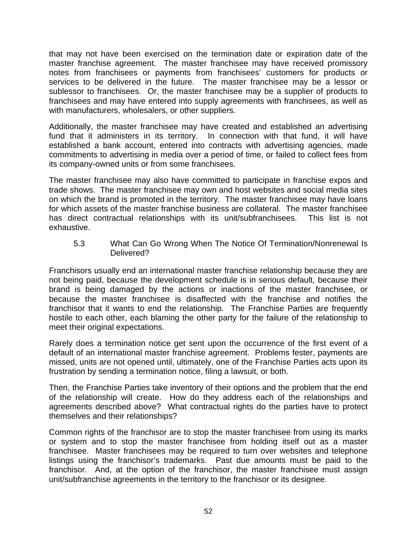that may not have been exercised on the termination date or expiration date of the master franchise agreement. The master franchisee may have received promissory notes from franchisees or payments from franchisees' customers for products or services to be delivered in the future. The master franchisee may be a lessor or sublessor to franchisees. Or, the master franchisee may be a supplier of products to franchisees and may have entered into supply agreements with franchisees, as well as with manufacturers, wholesalers, or other suppliers.

Additionally, the master franchisee may have created and established an advertising fund that it administers in its territory. In connection with that fund, it will have established a bank account, entered into contracts with advertising agencies, made commitments to advertising in media over a period of time, or failed to collect fees from its company-owned units or from some franchisees.

The master franchisee may also have committed to participate in franchise expos and trade shows. The master franchisee may own and host websites and social media sites on which the brand is promoted in the territory. The master franchisee may have loans for which assets of the master franchise business are collateral. The master franchisee has direct contractual relationships with its unit/subfranchisees. This list is not exhaustive.

5.3 What Can Go Wrong When The Notice Of Termination/Nonrenewal Is Delivered?

Franchisors usually end an international master franchise relationship because they are not being paid, because the development schedule is in serious default, because their brand is being damaged by the actions or inactions of the master franchisee, or because the master franchisee is disaffected with the franchise and notifies the franchisor that it wants to end the relationship. The Franchise Parties are frequently hostile to each other, each blaming the other party for the failure of the relationship to meet their original expectations.

Rarely does a termination notice get sent upon the occurrence of the first event of a default of an international master franchise agreement. Problems fester, payments are missed, units are not opened until, ultimately, one of the Franchise Parties acts upon its frustration by sending a termination notice, filing a lawsuit, or both.

Then, the Franchise Parties take inventory of their options and the problem that the end of the relationship will create. How do they address each of the relationships and agreements described above? What contractual rights do the parties have to protect themselves and their relationships?

Common rights of the franchisor are to stop the master franchisee from using its marks or system and to stop the master franchisee from holding itself out as a master franchisee. Master franchisees may be required to turn over websites and telephone listings using the franchisor's trademarks. Past due amounts must be paid to the franchisor. And, at the option of the franchisor, the master franchisee must assign unit/subfranchise agreements in the territory to the franchisor or its designee.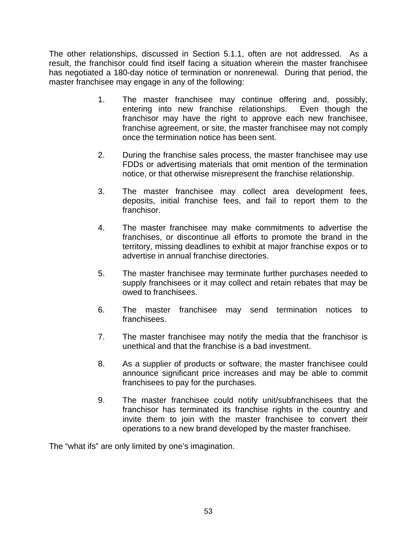The other relationships, discussed in Section 5.1.1, often are not addressed. As a result, the franchisor could find itself facing a situation wherein the master franchisee has negotiated a 180-day notice of termination or nonrenewal. During that period, the master franchisee may engage in any of the following:

- 1. The master franchisee may continue offering and, possibly, entering into new franchise relationships. Even though the franchisor may have the right to approve each new franchisee, franchise agreement, or site, the master franchisee may not comply once the termination notice has been sent.
- 2. During the franchise sales process, the master franchisee may use FDDs or advertising materials that omit mention of the termination notice, or that otherwise misrepresent the franchise relationship.
- 3. The master franchisee may collect area development fees, deposits, initial franchise fees, and fail to report them to the franchisor.
- 4. The master franchisee may make commitments to advertise the franchises, or discontinue all efforts to promote the brand in the territory, missing deadlines to exhibit at major franchise expos or to advertise in annual franchise directories.
- 5. The master franchisee may terminate further purchases needed to supply franchisees or it may collect and retain rebates that may be owed to franchisees.
- 6. The master franchisee may send termination notices to franchisees.
- 7. The master franchisee may notify the media that the franchisor is unethical and that the franchise is a bad investment.
- 8. As a supplier of products or software, the master franchisee could announce significant price increases and may be able to commit franchisees to pay for the purchases.
- 9. The master franchisee could notify unit/subfranchisees that the franchisor has terminated its franchise rights in the country and invite them to join with the master franchisee to convert their operations to a new brand developed by the master franchisee.

The "what ifs" are only limited by one's imagination.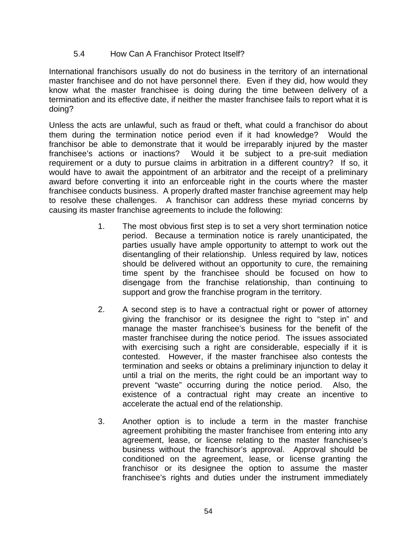#### 5.4 How Can A Franchisor Protect Itself?

International franchisors usually do not do business in the territory of an international master franchisee and do not have personnel there. Even if they did, how would they know what the master franchisee is doing during the time between delivery of a termination and its effective date, if neither the master franchisee fails to report what it is doing?

Unless the acts are unlawful, such as fraud or theft, what could a franchisor do about them during the termination notice period even if it had knowledge? Would the franchisor be able to demonstrate that it would be irreparably injured by the master franchisee's actions or inactions? Would it be subject to a pre-suit mediation requirement or a duty to pursue claims in arbitration in a different country? If so, it would have to await the appointment of an arbitrator and the receipt of a preliminary award before converting it into an enforceable right in the courts where the master franchisee conducts business. A properly drafted master franchise agreement may help to resolve these challenges. A franchisor can address these myriad concerns by causing its master franchise agreements to include the following:

- 1. The most obvious first step is to set a very short termination notice period. Because a termination notice is rarely unanticipated, the parties usually have ample opportunity to attempt to work out the disentangling of their relationship. Unless required by law, notices should be delivered without an opportunity to cure, the remaining time spent by the franchisee should be focused on how to disengage from the franchise relationship, than continuing to support and grow the franchise program in the territory.
- 2. A second step is to have a contractual right or power of attorney giving the franchisor or its designee the right to "step in" and manage the master franchisee's business for the benefit of the master franchisee during the notice period. The issues associated with exercising such a right are considerable, especially if it is contested. However, if the master franchisee also contests the termination and seeks or obtains a preliminary injunction to delay it until a trial on the merits, the right could be an important way to prevent "waste" occurring during the notice period. Also, the existence of a contractual right may create an incentive to accelerate the actual end of the relationship.
- 3. Another option is to include a term in the master franchise agreement prohibiting the master franchisee from entering into any agreement, lease, or license relating to the master franchisee's business without the franchisor's approval. Approval should be conditioned on the agreement, lease, or license granting the franchisor or its designee the option to assume the master franchisee's rights and duties under the instrument immediately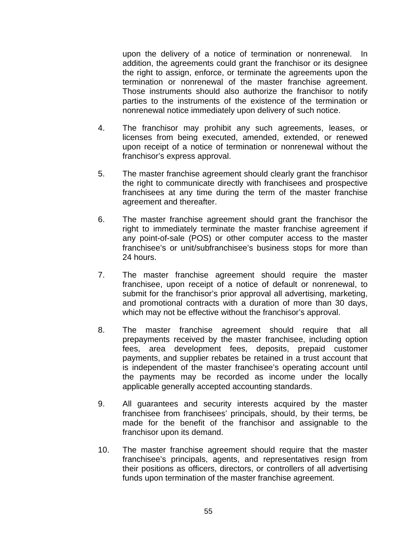upon the delivery of a notice of termination or nonrenewal. In addition, the agreements could grant the franchisor or its designee the right to assign, enforce, or terminate the agreements upon the termination or nonrenewal of the master franchise agreement. Those instruments should also authorize the franchisor to notify parties to the instruments of the existence of the termination or nonrenewal notice immediately upon delivery of such notice.

- 4. The franchisor may prohibit any such agreements, leases, or licenses from being executed, amended, extended, or renewed upon receipt of a notice of termination or nonrenewal without the franchisor's express approval.
- 5. The master franchise agreement should clearly grant the franchisor the right to communicate directly with franchisees and prospective franchisees at any time during the term of the master franchise agreement and thereafter.
- 6. The master franchise agreement should grant the franchisor the right to immediately terminate the master franchise agreement if any point-of-sale (POS) or other computer access to the master franchisee's or unit/subfranchisee's business stops for more than 24 hours.
- 7. The master franchise agreement should require the master franchisee, upon receipt of a notice of default or nonrenewal, to submit for the franchisor's prior approval all advertising, marketing, and promotional contracts with a duration of more than 30 days, which may not be effective without the franchisor's approval.
- 8. The master franchise agreement should require that all prepayments received by the master franchisee, including option fees, area development fees, deposits, prepaid customer payments, and supplier rebates be retained in a trust account that is independent of the master franchisee's operating account until the payments may be recorded as income under the locally applicable generally accepted accounting standards.
- 9. All guarantees and security interests acquired by the master franchisee from franchisees' principals, should, by their terms, be made for the benefit of the franchisor and assignable to the franchisor upon its demand.
- 10. The master franchise agreement should require that the master franchisee's principals, agents, and representatives resign from their positions as officers, directors, or controllers of all advertising funds upon termination of the master franchise agreement.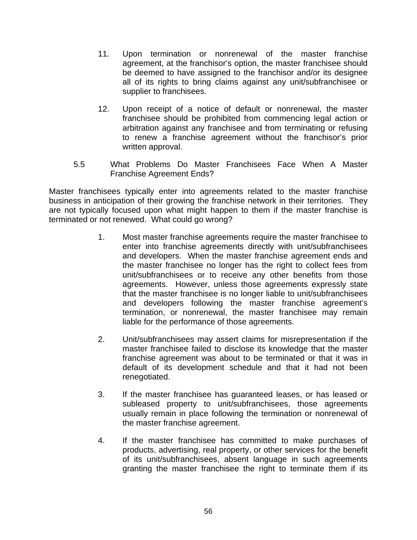- 11. Upon termination or nonrenewal of the master franchise agreement, at the franchisor's option, the master franchisee should be deemed to have assigned to the franchisor and/or its designee all of its rights to bring claims against any unit/subfranchisee or supplier to franchisees.
- 12. Upon receipt of a notice of default or nonrenewal, the master franchisee should be prohibited from commencing legal action or arbitration against any franchisee and from terminating or refusing to renew a franchise agreement without the franchisor's prior written approval.
- 5.5 What Problems Do Master Franchisees Face When A Master Franchise Agreement Ends?

Master franchisees typically enter into agreements related to the master franchise business in anticipation of their growing the franchise network in their territories. They are not typically focused upon what might happen to them if the master franchise is terminated or not renewed. What could go wrong?

- 1. Most master franchise agreements require the master franchisee to enter into franchise agreements directly with unit/subfranchisees and developers. When the master franchise agreement ends and the master franchisee no longer has the right to collect fees from unit/subfranchisees or to receive any other benefits from those agreements. However, unless those agreements expressly state that the master franchisee is no longer liable to unit/subfranchisees and developers following the master franchise agreement's termination, or nonrenewal, the master franchisee may remain liable for the performance of those agreements.
- 2. Unit/subfranchisees may assert claims for misrepresentation if the master franchisee failed to disclose its knowledge that the master franchise agreement was about to be terminated or that it was in default of its development schedule and that it had not been renegotiated.
- 3. If the master franchisee has guaranteed leases, or has leased or subleased property to unit/subfranchisees, those agreements usually remain in place following the termination or nonrenewal of the master franchise agreement.
- 4. If the master franchisee has committed to make purchases of products, advertising, real property, or other services for the benefit of its unit/subfranchisees, absent language in such agreements granting the master franchisee the right to terminate them if its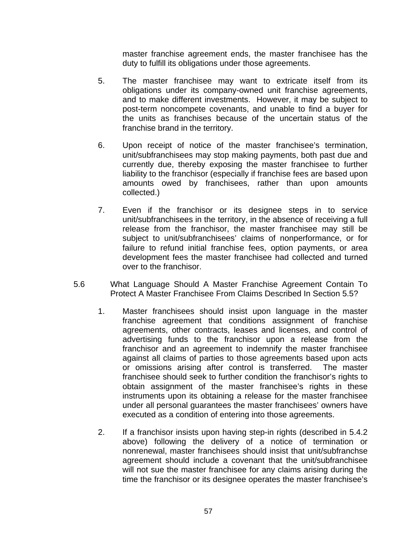master franchise agreement ends, the master franchisee has the duty to fulfill its obligations under those agreements.

- 5. The master franchisee may want to extricate itself from its obligations under its company-owned unit franchise agreements, and to make different investments. However, it may be subject to post-term noncompete covenants, and unable to find a buyer for the units as franchises because of the uncertain status of the franchise brand in the territory.
- 6. Upon receipt of notice of the master franchisee's termination, unit/subfranchisees may stop making payments, both past due and currently due, thereby exposing the master franchisee to further liability to the franchisor (especially if franchise fees are based upon amounts owed by franchisees, rather than upon amounts collected.)
- 7. Even if the franchisor or its designee steps in to service unit/subfranchisees in the territory, in the absence of receiving a full release from the franchisor, the master franchisee may still be subject to unit/subfranchisees' claims of nonperformance, or for failure to refund initial franchise fees, option payments, or area development fees the master franchisee had collected and turned over to the franchisor.
- 5.6 What Language Should A Master Franchise Agreement Contain To Protect A Master Franchisee From Claims Described In Section 5.5?
	- 1. Master franchisees should insist upon language in the master franchise agreement that conditions assignment of franchise agreements, other contracts, leases and licenses, and control of advertising funds to the franchisor upon a release from the franchisor and an agreement to indemnify the master franchisee against all claims of parties to those agreements based upon acts or omissions arising after control is transferred. The master franchisee should seek to further condition the franchisor's rights to obtain assignment of the master franchisee's rights in these instruments upon its obtaining a release for the master franchisee under all personal guarantees the master franchisees' owners have executed as a condition of entering into those agreements.
	- 2. If a franchisor insists upon having step-in rights (described in 5.4.2 above) following the delivery of a notice of termination or nonrenewal, master franchisees should insist that unit/subfranchse agreement should include a covenant that the unit/subfranchisee will not sue the master franchisee for any claims arising during the time the franchisor or its designee operates the master franchisee's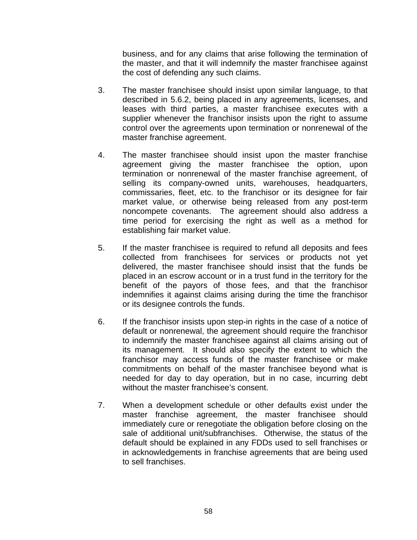business, and for any claims that arise following the termination of the master, and that it will indemnify the master franchisee against the cost of defending any such claims.

- 3. The master franchisee should insist upon similar language, to that described in 5.6.2, being placed in any agreements, licenses, and leases with third parties, a master franchisee executes with a supplier whenever the franchisor insists upon the right to assume control over the agreements upon termination or nonrenewal of the master franchise agreement.
- 4. The master franchisee should insist upon the master franchise agreement giving the master franchisee the option, upon termination or nonrenewal of the master franchise agreement, of selling its company-owned units, warehouses, headquarters, commissaries, fleet, etc. to the franchisor or its designee for fair market value, or otherwise being released from any post-term noncompete covenants. The agreement should also address a time period for exercising the right as well as a method for establishing fair market value.
- 5. If the master franchisee is required to refund all deposits and fees collected from franchisees for services or products not yet delivered, the master franchisee should insist that the funds be placed in an escrow account or in a trust fund in the territory for the benefit of the payors of those fees, and that the franchisor indemnifies it against claims arising during the time the franchisor or its designee controls the funds.
- 6. If the franchisor insists upon step-in rights in the case of a notice of default or nonrenewal, the agreement should require the franchisor to indemnify the master franchisee against all claims arising out of its management. It should also specify the extent to which the franchisor may access funds of the master franchisee or make commitments on behalf of the master franchisee beyond what is needed for day to day operation, but in no case, incurring debt without the master franchisee's consent.
- 7. When a development schedule or other defaults exist under the master franchise agreement, the master franchisee should immediately cure or renegotiate the obligation before closing on the sale of additional unit/subfranchises. Otherwise, the status of the default should be explained in any FDDs used to sell franchises or in acknowledgements in franchise agreements that are being used to sell franchises.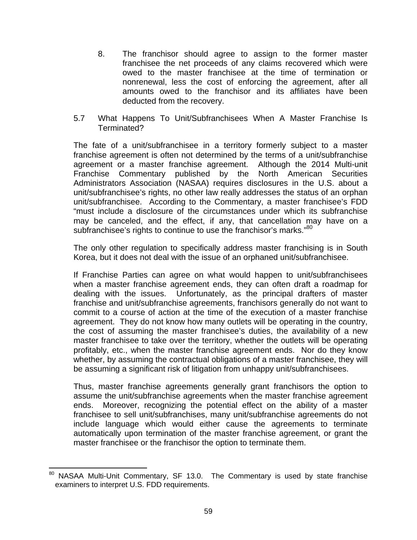- 8. The franchisor should agree to assign to the former master franchisee the net proceeds of any claims recovered which were owed to the master franchisee at the time of termination or nonrenewal, less the cost of enforcing the agreement, after all amounts owed to the franchisor and its affiliates have been deducted from the recovery.
- 5.7 What Happens To Unit/Subfranchisees When A Master Franchise Is Terminated?

The fate of a unit/subfranchisee in a territory formerly subject to a master franchise agreement is often not determined by the terms of a unit/subfranchise agreement or a master franchise agreement. Although the 2014 Multi-unit Franchise Commentary published by the North American Securities Administrators Association (NASAA) requires disclosures in the U.S. about a unit/subfranchisee's rights, no other law really addresses the status of an orphan unit/subfranchisee. According to the Commentary, a master franchisee's FDD "must include a disclosure of the circumstances under which its subfranchise may be canceled, and the effect, if any, that cancellation may have on a subfranchisee's rights to continue to use the franchisor's marks."<sup>80</sup>

The only other regulation to specifically address master franchising is in South Korea, but it does not deal with the issue of an orphaned unit/subfranchisee.

If Franchise Parties can agree on what would happen to unit/subfranchisees when a master franchise agreement ends, they can often draft a roadmap for dealing with the issues. Unfortunately, as the principal drafters of master franchise and unit/subfranchise agreements, franchisors generally do not want to commit to a course of action at the time of the execution of a master franchise agreement. They do not know how many outlets will be operating in the country, the cost of assuming the master franchisee's duties, the availability of a new master franchisee to take over the territory, whether the outlets will be operating profitably, etc., when the master franchise agreement ends. Nor do they know whether, by assuming the contractual obligations of a master franchisee, they will be assuming a significant risk of litigation from unhappy unit/subfranchisees.

Thus, master franchise agreements generally grant franchisors the option to assume the unit/subfranchise agreements when the master franchise agreement ends. Moreover, recognizing the potential effect on the ability of a master franchisee to sell unit/subfranchises, many unit/subfranchise agreements do not include language which would either cause the agreements to terminate automatically upon termination of the master franchise agreement, or grant the master franchisee or the franchisor the option to terminate them.

  $80$  NASAA Multi-Unit Commentary, SF 13.0. The Commentary is used by state franchise examiners to interpret U.S. FDD requirements.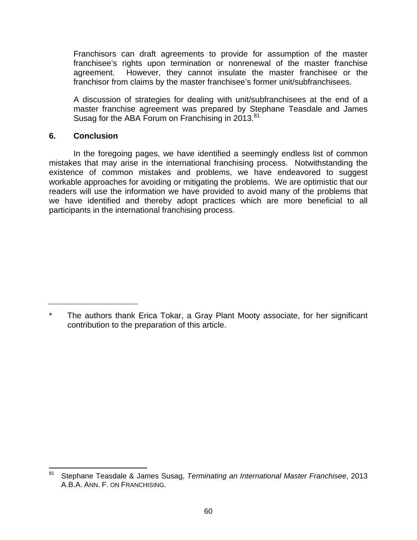Franchisors can draft agreements to provide for assumption of the master franchisee's rights upon termination or nonrenewal of the master franchise agreement. However, they cannot insulate the master franchisee or the franchisor from claims by the master franchisee's former unit/subfranchisees.

A discussion of strategies for dealing with unit/subfranchisees at the end of a master franchise agreement was prepared by Stephane Teasdale and James Susag for the ABA Forum on Franchising in 2013.<sup>81</sup>

#### **6. Conclusion**

In the foregoing pages, we have identified a seemingly endless list of common mistakes that may arise in the international franchising process. Notwithstanding the existence of common mistakes and problems, we have endeavored to suggest workable approaches for avoiding or mitigating the problems. We are optimistic that our readers will use the information we have provided to avoid many of the problems that we have identified and thereby adopt practices which are more beneficial to all participants in the international franchising process.

<sup>\*</sup> The authors thank Erica Tokar, a Gray Plant Mooty associate, for her significant contribution to the preparation of this article.

 81 Stephane Teasdale & James Susag, *Terminating an International Master Franchisee*, 2013 A.B.A. ANN. F. ON FRANCHISING.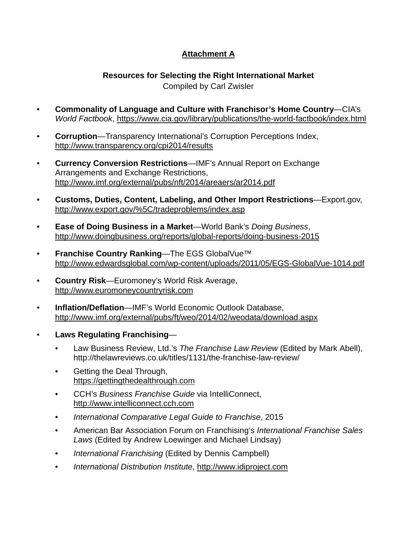# **Attachment A**

#### **Resources for Selecting the Right International Market**  Compiled by Carl Zwisler

- **Commonality of Language and Culture with Franchisor's Home Country**—CIA's *World Factbook*, https://www.cia.gov/library/publications/the-world-factbook/index.html
- **Corruption**—Transparency International's Corruption Perceptions Index, http://www.transparency.org/cpi2014/results
- **Currency Conversion Restrictions**—IMF's Annual Report on Exchange Arrangements and Exchange Restrictions, http://www.imf.org/external/pubs/nft/2014/areaers/ar2014.pdf
- **Customs, Duties, Content, Labeling, and Other Import Restrictions**—Export.gov, http://www.export.gov/%5C/tradeproblems/index.asp
- **Ease of Doing Business in a Market**—World Bank's *Doing Business*, http://www.doingbusiness.org/reports/global-reports/doing-business-2015
- **Franchise Country Ranking—The EGS GlobalVue™** http://www.edwardsglobal.com/wp-content/uploads/2011/05/EGS-GlobalVue-1014.pdf
- **Country Risk**—Euromoney's World Risk Average, http://www.euromoneycountryrisk.com
- **Inflation/Deflation**—IMF's World Economic Outlook Database, http://www.imf.org/external/pubs/ft/weo/2014/02/weodata/download.aspx
- **Laws Regulating Franchising**
	- Law Business Review, Ltd.'s *The Franchise Law Review* (Edited by Mark Abell), http://thelawreviews.co.uk/titles/1131/the-franchise-law-review/
	- Getting the Deal Through, https://gettingthedealthrough.com
	- CCH's *Business Franchise Guide* via IntelliConnect, http://www.intelliconnect.cch.com
	- *International Comparative Legal Guide to Franchise*, 2015
	- American Bar Association Forum on Franchising's *International Franchise Sales Laws* (Edited by Andrew Loewinger and Michael Lindsay)
	- *International Franchising* (Edited by Dennis Campbell)
	- *International Distribution Institute*, http://www.idiproject.com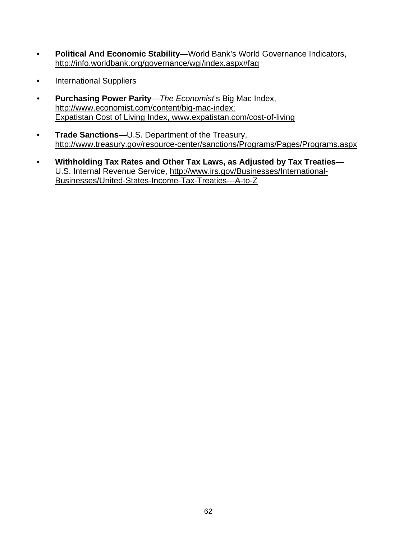- **Political And Economic Stability**—World Bank's World Governance Indicators, http://info.worldbank.org/governance/wgi/index.aspx#faq
- International Suppliers
- **Purchasing Power Parity**—*The Economist*'s Big Mac Index, http://www.economist.com/content/big-mac-index; Expatistan Cost of Living Index, www.expatistan.com/cost-of-living
- **Trade Sanctions**—U.S. Department of the Treasury, http://www.treasury.gov/resource-center/sanctions/Programs/Pages/Programs.aspx
- **Withholding Tax Rates and Other Tax Laws, as Adjusted by Tax Treaties** U.S. Internal Revenue Service, http://www.irs.gov/Businesses/International-Businesses/United-States-Income-Tax-Treaties---A-to-Z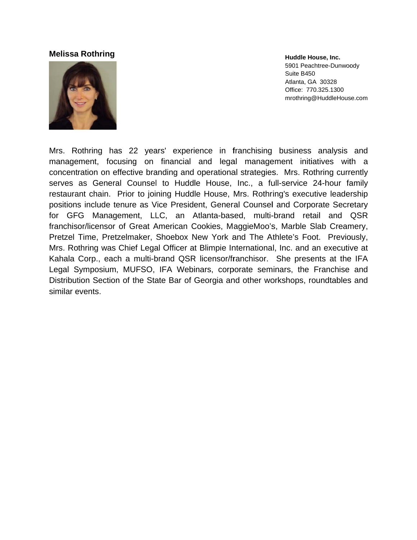#### **Melissa a Rothring**



**Huddle H House, Inc.** 5901 Pea chtree-Dunwoo ody Suite B45 50 Atlanta, G GA 30328 Office: 77 70.325.1300 mrothring@ @HuddleHous se.com

Mrs. Rothring has 22 years' experience in franchising business analysis and management, focusing on financial and legal management initiatives with a concentration on effective branding and operational strategies. Mrs. Rothring currently serves as General Counsel to Huddle House, Inc., a full-service 24-hour family restaurant chain. Prior to joining Huddle House, Mrs. Rothring's executive leadership positions include tenure as Vice President, General Counsel and Corporate Secretary for GFG Management, LLC, an Atlanta-based, multi-brand retail and QSR franchisor/licensor of Great American Cookies, MaggieMoo's, Marble Slab Creamery, Pretzel Time, Pretzelmaker, Shoebox New York and The Athlete's Foot. Previously, Mrs. Rothring was Chief Legal Officer at Blimpie International, Inc. and an executive at Kahala Corp., each a multi-brand QSR licensor/franchisor. She presents at the IFA Legal Symposium, MUFSO, IFA Webinars, corporate seminars, the Franchise and Distribution Section of the State Bar of Georgia and other workshops, roundtables and similar e events.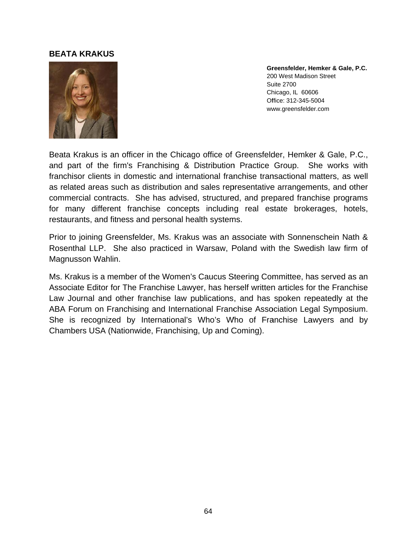#### **BEATA KRAKUS**



**Gr reensfelder, H Hemker & Gale e, P.C.**200 West Madison Street Su uite 2700 Chicago, IL 60606 Of ffice: 312-345-5 5004 www.greensfelder.com

Beata Krakus is an officer in the Chicago office of Greensfelder, Hemker & Gale, P.C., and part of the firm's Franchising & Distribution Practice Group. She works with franchisor clients in domestic and international franchise transactional matters, as well as related areas such as distribution and sales representative arrangements, and other commercial contracts. She has advised, structured, and prepared franchise programs for many different franchise concepts including real estate brokerages, hotels, restaurants, and fitness and personal health systems.

Prior to joining Greensfelder, Ms. Krakus was an associate with Sonnenschein Nath & Rosenthal LLP. She also practiced in Warsaw, Poland with the Swedish law firm of Magnusson Wahlin.

Ms. Krakus is a member of the Women's Caucus Steering Committee, has served as an Associate Editor for The Franchise Lawyer, has herself written articles for the Franchise Law Journal and other franchise law publications, and has spoken repeatedly at the ABA Forum on Franchising and International Franchise Association Legal Symposium. She is recognized by International's Who's Who of Franchise Lawyers and by Chambers USA (Nationwide, Franchising, Up and Coming).